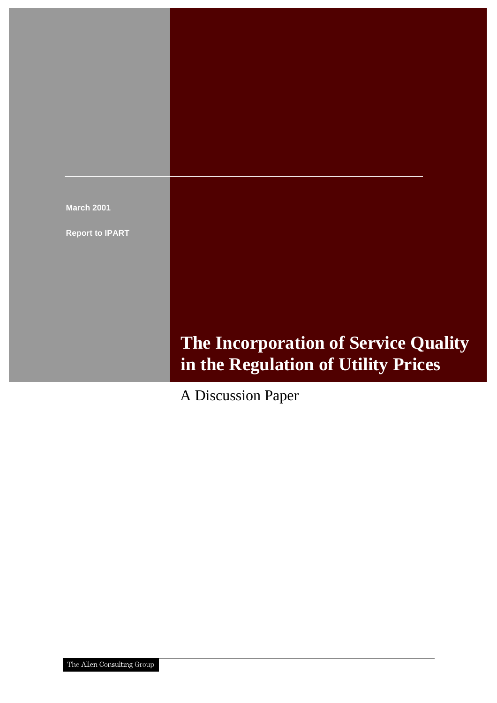![](_page_0_Picture_0.jpeg)

**Report to IPART**

# **The Incorporation of Service Quality in the Regulation of Utility Prices**

A Discussion Paper

The Allen Consulting Group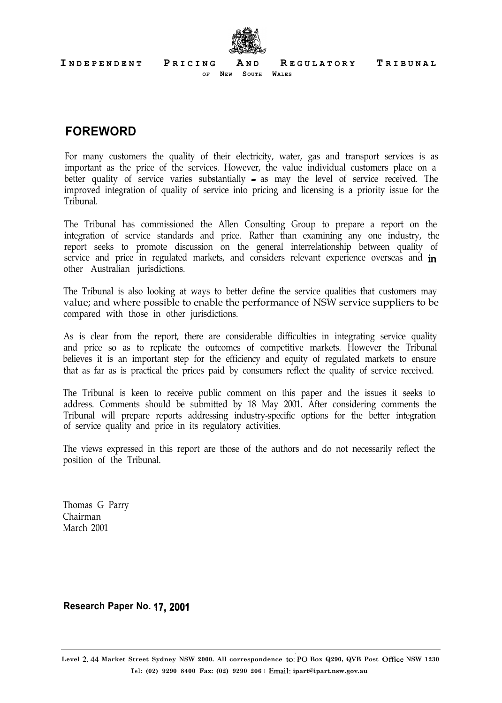**I NDEPENDENT P RICING A N D R EGULATORY T RIBUNAL**

![](_page_1_Picture_1.jpeg)

**OF NEW SOUTH WALES**

### **FOREWORD**

For many customers the quality of their electricity, water, gas and transport services is as important as the price of the services. However, the value individual customers place on a better quality of service varies substantially - as may the level of service received. The improved integration of quality of service into pricing and licensing is a priority issue for the Tribunal.

The Tribunal has commissioned the Allen Consulting Group to prepare a report on the integration of service standards and price. Rather than examining any one industry, the report seeks to promote discussion on the general interrelationship between quality of service and price in regulated markets, and considers relevant experience overseas and  $in$ other Australian jurisdictions.

The Tribunal is also looking at ways to better define the service qualities that customers may value; and where possible to enable the performance of NSW service suppliers to be compared with those in other jurisdictions.

As is clear from the report, there are considerable difficulties in integrating service quality and price so as to replicate the outcomes of competitive markets. However the Tribunal believes it is an important step for the efficiency and equity of regulated markets to ensure that as far as is practical the prices paid by consumers reflect the quality of service received.

The Tribunal is keen to receive public comment on this paper and the issues it seeks to address. Comments should be submitted by 18 May 2001. After considering comments the Tribunal will prepare reports addressing industry-specific options for the better integration of service quality and price in its regulatory activities.

The views expressed in this report are those of the authors and do not necessarily reflect the position of the Tribunal.

Thomas G Parry Chairman March 2001

**Research Paper No. 17,200l**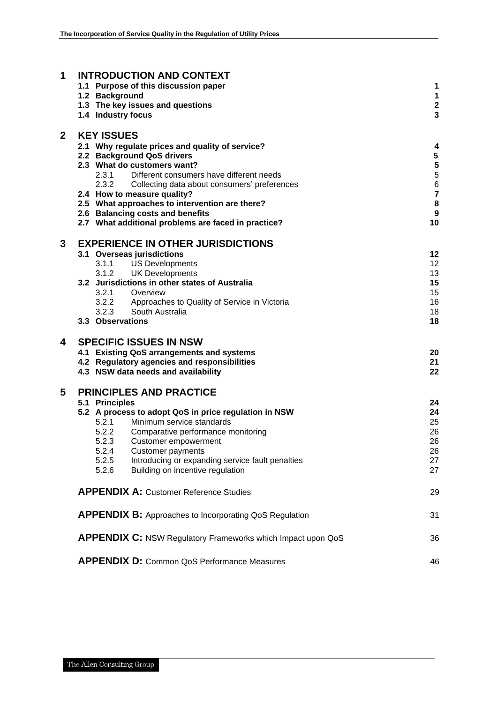| 1              | <b>INTRODUCTION AND CONTEXT</b>                                             |                                                             |                         |
|----------------|-----------------------------------------------------------------------------|-------------------------------------------------------------|-------------------------|
|                | 1.1 Purpose of this discussion paper                                        |                                                             | 1                       |
|                | 1.2 Background                                                              |                                                             | 1                       |
|                | 1.3 The key issues and questions                                            |                                                             | $\overline{\mathbf{2}}$ |
|                | 1.4 Industry focus                                                          |                                                             | $\overline{3}$          |
| $\overline{2}$ | <b>KEY ISSUES</b>                                                           |                                                             |                         |
|                | 2.1 Why regulate prices and quality of service?                             |                                                             | 4                       |
|                | 2.2 Background QoS drivers                                                  |                                                             |                         |
|                | 2.3 What do customers want?                                                 |                                                             | $\frac{5}{5}$           |
|                | 2.3.1                                                                       | Different consumers have different needs                    | $\overline{5}$          |
|                | 2.3.2                                                                       | Collecting data about consumers' preferences                | $\overline{6}$          |
|                | 2.4 How to measure quality?                                                 |                                                             | $\overline{7}$          |
|                | 2.5 What approaches to intervention are there?                              |                                                             | 8                       |
|                | 2.6 Balancing costs and benefits                                            |                                                             | 9                       |
|                | 2.7 What additional problems are faced in practice?                         |                                                             | 10                      |
| 3              | <b>EXPERIENCE IN OTHER JURISDICTIONS</b>                                    |                                                             |                         |
|                | 3.1 Overseas jurisdictions                                                  |                                                             | 12                      |
|                | 3.1.1 US Developments                                                       |                                                             | 12                      |
|                | <b>UK Developments</b><br>3.1.2                                             |                                                             | 13                      |
|                | 3.2 Jurisdictions in other states of Australia                              |                                                             | 15                      |
|                | 3.2.1 Overview                                                              |                                                             | 15<br>16                |
|                | 3.2.2 Approaches to Quality of Service in Victoria<br>3.2.3 South Australia |                                                             | 18                      |
|                | 3.3 Observations                                                            |                                                             | 18                      |
|                |                                                                             |                                                             |                         |
| 4              | <b>SPECIFIC ISSUES IN NSW</b>                                               |                                                             |                         |
|                | 4.1 Existing QoS arrangements and systems                                   |                                                             | 20                      |
|                | 4.2 Regulatory agencies and responsibilities                                |                                                             | 21                      |
|                | 4.3 NSW data needs and availability                                         |                                                             | 22                      |
| 5              | <b>PRINCIPLES AND PRACTICE</b>                                              |                                                             |                         |
|                | 5.1 Principles                                                              |                                                             | 24                      |
|                | 5.2 A process to adopt QoS in price regulation in NSW                       |                                                             | 24                      |
|                | 5.2.1<br>Minimum service standards                                          |                                                             | 25                      |
|                | 5.2.2<br>Comparative performance monitoring                                 |                                                             | 26                      |
|                | 5.2.3<br>Customer empowerment                                               |                                                             | 26                      |
|                | 5.2.4<br><b>Customer payments</b><br>5.2.5                                  | Introducing or expanding service fault penalties            | 26<br>27                |
|                | 5.2.6<br>Building on incentive regulation                                   |                                                             | 27                      |
|                |                                                                             |                                                             |                         |
|                | <b>APPENDIX A: Customer Reference Studies</b>                               |                                                             | 29                      |
|                | <b>APPENDIX B:</b> Approaches to Incorporating QoS Regulation               |                                                             | 31                      |
|                |                                                                             | APPENDIX C: NSW Regulatory Frameworks which Impact upon QoS | 36                      |
|                | <b>APPENDIX D:</b> Common QoS Performance Measures                          |                                                             | 46                      |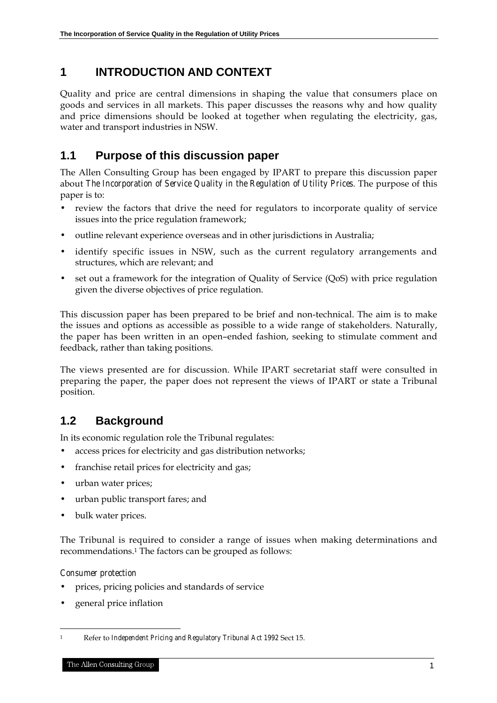# **1 INTRODUCTION AND CONTEXT**

Quality and price are central dimensions in shaping the value that consumers place on goods and services in all markets. This paper discusses the reasons why and how quality and price dimensions should be looked at together when regulating the electricity, gas, water and transport industries in NSW.

# **1.1 Purpose of this discussion paper**

The Allen Consulting Group has been engaged by IPART to prepare this discussion paper about *The Incorporation of Service Quality in the Regulation of Utility Prices*. The purpose of this paper is to:

- review the factors that drive the need for regulators to incorporate quality of service issues into the price regulation framework;
- outline relevant experience overseas and in other jurisdictions in Australia;
- identify specific issues in NSW, such as the current regulatory arrangements and structures, which are relevant; and
- set out a framework for the integration of Quality of Service (QoS) with price regulation given the diverse objectives of price regulation.

This discussion paper has been prepared to be brief and non-technical. The aim is to make the issues and options as accessible as possible to a wide range of stakeholders. Naturally, the paper has been written in an open–ended fashion, seeking to stimulate comment and feedback, rather than taking positions.

The views presented are for discussion. While IPART secretariat staff were consulted in preparing the paper, the paper does not represent the views of IPART or state a Tribunal position.

# **1.2 Background**

In its economic regulation role the Tribunal regulates:

- access prices for electricity and gas distribution networks;
- franchise retail prices for electricity and gas;
- urban water prices;
- urban public transport fares; and
- bulk water prices.

The Tribunal is required to consider a range of issues when making determinations and recommendations.1 The factors can be grouped as follows:

#### *Consumer protection*

- prices, pricing policies and standards of service
- general price inflation

 $\ddot{ }$ 1 Refer to *Independent Pricing and Regulatory Tribunal Act 1992* Sect 15.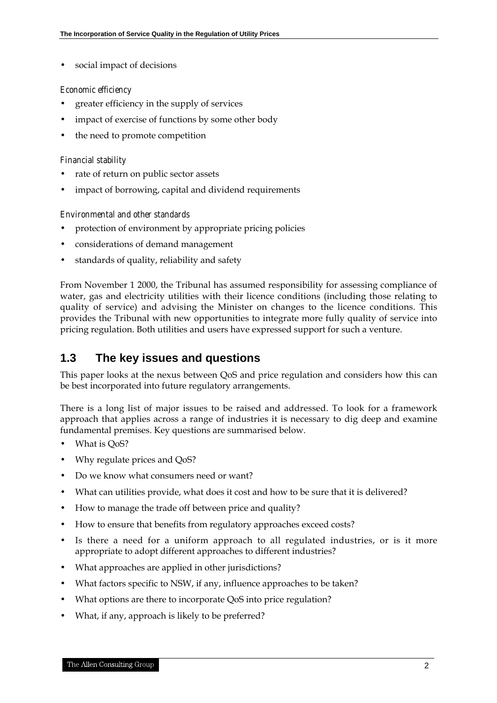social impact of decisions

#### *Economic efficiency*

- greater efficiency in the supply of services
- impact of exercise of functions by some other body
- the need to promote competition

#### *Financial stability*

- rate of return on public sector assets
- impact of borrowing, capital and dividend requirements

#### *Environmental and other standards*

- protection of environment by appropriate pricing policies
- considerations of demand management
- standards of quality, reliability and safety

From November 1 2000, the Tribunal has assumed responsibility for assessing compliance of water, gas and electricity utilities with their licence conditions (including those relating to quality of service) and advising the Minister on changes to the licence conditions. This provides the Tribunal with new opportunities to integrate more fully quality of service into pricing regulation. Both utilities and users have expressed support for such a venture.

### **1.3 The key issues and questions**

This paper looks at the nexus between QoS and price regulation and considers how this can be best incorporated into future regulatory arrangements.

There is a long list of major issues to be raised and addressed. To look for a framework approach that applies across a range of industries it is necessary to dig deep and examine fundamental premises. Key questions are summarised below.

- What is QoS?
- Why regulate prices and QoS?
- Do we know what consumers need or want?
- What can utilities provide, what does it cost and how to be sure that it is delivered?
- How to manage the trade off between price and quality?
- How to ensure that benefits from regulatory approaches exceed costs?
- Is there a need for a uniform approach to all regulated industries, or is it more appropriate to adopt different approaches to different industries?
- What approaches are applied in other jurisdictions?
- What factors specific to NSW, if any, influence approaches to be taken?
- What options are there to incorporate QoS into price regulation?
- What, if any, approach is likely to be preferred?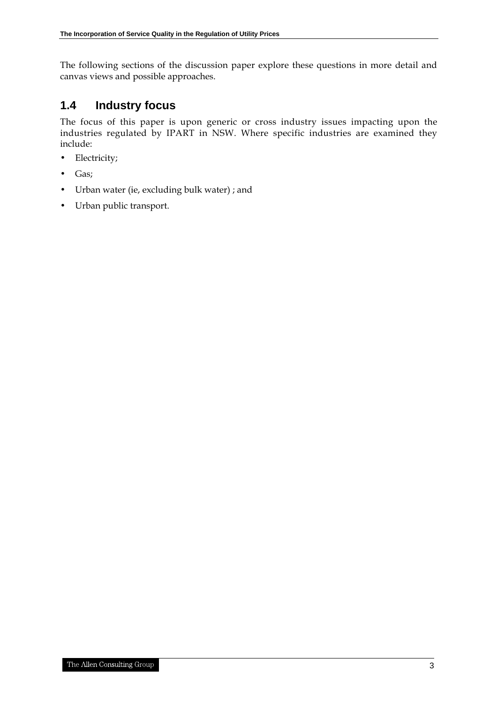The following sections of the discussion paper explore these questions in more detail and canvas views and possible approaches.

### **1.4 Industry focus**

The focus of this paper is upon generic or cross industry issues impacting upon the industries regulated by IPART in NSW. Where specific industries are examined they include:

- Electricity;
- Gas;
- Urban water (ie, excluding bulk water) ; and
- Urban public transport.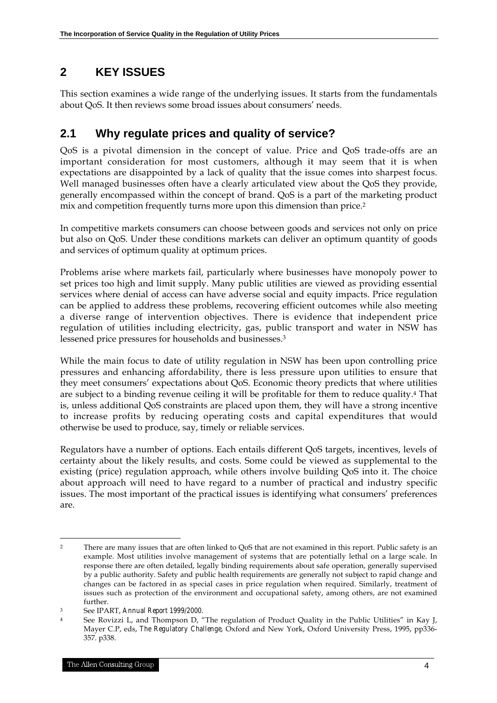# **2 KEY ISSUES**

This section examines a wide range of the underlying issues. It starts from the fundamentals about QoS. It then reviews some broad issues about consumers' needs.

# **2.1 Why regulate prices and quality of service?**

QoS is a pivotal dimension in the concept of value. Price and QoS trade-offs are an important consideration for most customers, although it may seem that it is when expectations are disappointed by a lack of quality that the issue comes into sharpest focus. Well managed businesses often have a clearly articulated view about the QoS they provide, generally encompassed within the concept of brand. QoS is a part of the marketing product mix and competition frequently turns more upon this dimension than price.2

In competitive markets consumers can choose between goods and services not only on price but also on QoS. Under these conditions markets can deliver an optimum quantity of goods and services of optimum quality at optimum prices.

Problems arise where markets fail, particularly where businesses have monopoly power to set prices too high and limit supply. Many public utilities are viewed as providing essential services where denial of access can have adverse social and equity impacts. Price regulation can be applied to address these problems, recovering efficient outcomes while also meeting a diverse range of intervention objectives. There is evidence that independent price regulation of utilities including electricity, gas, public transport and water in NSW has lessened price pressures for households and businesses.3

While the main focus to date of utility regulation in NSW has been upon controlling price pressures and enhancing affordability, there is less pressure upon utilities to ensure that they meet consumers' expectations about QoS. Economic theory predicts that where utilities are subject to a binding revenue ceiling it will be profitable for them to reduce quality.4 That is, unless additional QoS constraints are placed upon them, they will have a strong incentive to increase profits by reducing operating costs and capital expenditures that would otherwise be used to produce, say, timely or reliable services.

Regulators have a number of options. Each entails different QoS targets, incentives, levels of certainty about the likely results, and costs. Some could be viewed as supplemental to the existing (price) regulation approach, while others involve building QoS into it. The choice about approach will need to have regard to a number of practical and industry specific issues. The most important of the practical issues is identifying what consumers' preferences are.

<sup>&</sup>lt;sup>2</sup> There are many issues that are often linked to QoS that are not examined in this report. Public safety is an example. Most utilities involve management of systems that are potentially lethal on a large scale. In response there are often detailed, legally binding requirements about safe operation, generally supervised by a public authority. Safety and public health requirements are generally not subject to rapid change and changes can be factored in as special cases in price regulation when required. Similarly, treatment of issues such as protection of the environment and occupational safety, among others, are not examined further.

<sup>3</sup> See IPART, *Annual Report 1999/2000*.

<sup>4</sup> See Rovizzi L, and Thompson D, "The regulation of Product Quality in the Public Utilities" in Kay J, Mayer C.P, eds, *The Regulatory Challenge*, Oxford and New York, Oxford University Press, 1995, pp336- 357. p338.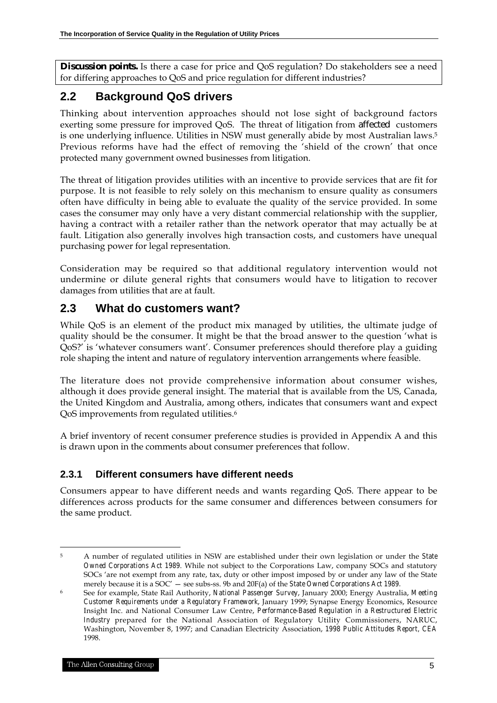**Discussion points.** Is there a case for price and QoS regulation? Do stakeholders see a need for differing approaches to QoS and price regulation for different industries?

# **2.2 Background QoS drivers**

Thinking about intervention approaches should not lose sight of background factors exerting some pressure for improved QoS. The threat of litigation from affected customers is one underlying influence. Utilities in NSW must generally abide by most Australian laws.5 Previous reforms have had the effect of removing the 'shield of the crown' that once protected many government owned businesses from litigation.

The threat of litigation provides utilities with an incentive to provide services that are fit for purpose. It is not feasible to rely solely on this mechanism to ensure quality as consumers often have difficulty in being able to evaluate the quality of the service provided. In some cases the consumer may only have a very distant commercial relationship with the supplier, having a contract with a retailer rather than the network operator that may actually be at fault. Litigation also generally involves high transaction costs, and customers have unequal purchasing power for legal representation.

Consideration may be required so that additional regulatory intervention would not undermine or dilute general rights that consumers would have to litigation to recover damages from utilities that are at fault.

### **2.3 What do customers want?**

While QoS is an element of the product mix managed by utilities, the ultimate judge of quality should be the consumer. It might be that the broad answer to the question 'what is QoS?' is 'whatever consumers want'. Consumer preferences should therefore play a guiding role shaping the intent and nature of regulatory intervention arrangements where feasible.

The literature does not provide comprehensive information about consumer wishes, although it does provide general insight. The material that is available from the US, Canada, the United Kingdom and Australia, among others, indicates that consumers want and expect QoS improvements from regulated utilities.<sup>6</sup>

A brief inventory of recent consumer preference studies is provided in Appendix A and this is drawn upon in the comments about consumer preferences that follow.

### **2.3.1 Different consumers have different needs**

Consumers appear to have different needs and wants regarding QoS. There appear to be differences across products for the same consumer and differences between consumers for the same product.

 $\overline{a}$ 5 A number of regulated utilities in NSW are established under their own legislation or under the *State Owned Corporations Act 1989*. While not subject to the Corporations Law, company SOCs and statutory SOCs 'are not exempt from any rate, tax, duty or other impost imposed by or under any law of the State merely because it is a SOC' — see subs-ss. 9b and 20F(a) of the *State Owned Corporations Act 1989.*

<sup>6</sup> See for example, State Rail Authority, *National Passenger Survey*, January 2000; Energy Australia, *Meeting Customer Requirements under a Regulatory Framework*, January 1999; Synapse Energy Economics, Resource Insight Inc. and National Consumer Law Centre, *Performance-Based Regulation in a Restructured Electric Industry* prepared for the National Association of Regulatory Utility Commissioners, NARUC, Washington, November 8, 1997; and Canadian Electricity Association, *1998 Public Attitudes Report, CEA* 1998.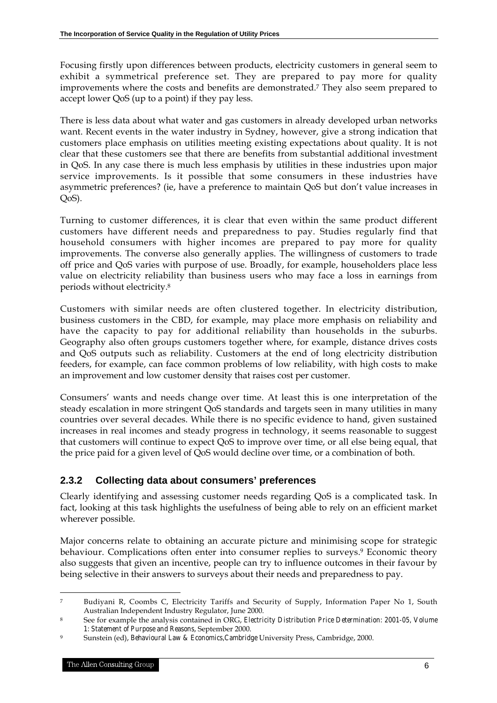Focusing firstly upon differences between products, electricity customers in general seem to exhibit a symmetrical preference set. They are prepared to pay more for quality improvements where the costs and benefits are demonstrated.7 They also seem prepared to accept lower QoS (up to a point) if they pay less.

There is less data about what water and gas customers in already developed urban networks want. Recent events in the water industry in Sydney, however, give a strong indication that customers place emphasis on utilities meeting existing expectations about quality. It is not clear that these customers see that there are benefits from substantial additional investment in QoS. In any case there is much less emphasis by utilities in these industries upon major service improvements. Is it possible that some consumers in these industries have asymmetric preferences? (ie, have a preference to maintain QoS but don't value increases in  $OoS$ ).

Turning to customer differences, it is clear that even within the same product different customers have different needs and preparedness to pay. Studies regularly find that household consumers with higher incomes are prepared to pay more for quality improvements. The converse also generally applies. The willingness of customers to trade off price and QoS varies with purpose of use. Broadly, for example, householders place less value on electricity reliability than business users who may face a loss in earnings from periods without electricity.8

Customers with similar needs are often clustered together. In electricity distribution, business customers in the CBD, for example, may place more emphasis on reliability and have the capacity to pay for additional reliability than households in the suburbs. Geography also often groups customers together where, for example, distance drives costs and QoS outputs such as reliability. Customers at the end of long electricity distribution feeders, for example, can face common problems of low reliability, with high costs to make an improvement and low customer density that raises cost per customer.

Consumers' wants and needs change over time. At least this is one interpretation of the steady escalation in more stringent QoS standards and targets seen in many utilities in many countries over several decades. While there is no specific evidence to hand, given sustained increases in real incomes and steady progress in technology, it seems reasonable to suggest that customers will continue to expect QoS to improve over time, or all else being equal, that the price paid for a given level of QoS would decline over time, or a combination of both.

### **2.3.2 Collecting data about consumers' preferences**

Clearly identifying and assessing customer needs regarding QoS is a complicated task. In fact, looking at this task highlights the usefulness of being able to rely on an efficient market wherever possible.

Major concerns relate to obtaining an accurate picture and minimising scope for strategic behaviour. Complications often enter into consumer replies to surveys.<sup>9</sup> Economic theory also suggests that given an incentive, people can try to influence outcomes in their favour by being selective in their answers to surveys about their needs and preparedness to pay.

 $\ddot{ }$ 7 Budiyani R, Coombs C, Electricity Tariffs and Security of Supply, Information Paper No 1, South Australian Independent Industry Regulator, June 2000.

<sup>8</sup> See for example the analysis contained in ORG, *Electricity Distribution Price Determination: 2001-05, Volume 1: Statement of Purpose and Reasons*, September 2000.

<sup>9</sup> Sunstein (ed), *Behavioural Law & Economics,Cambridge* University Press, Cambridge, 2000.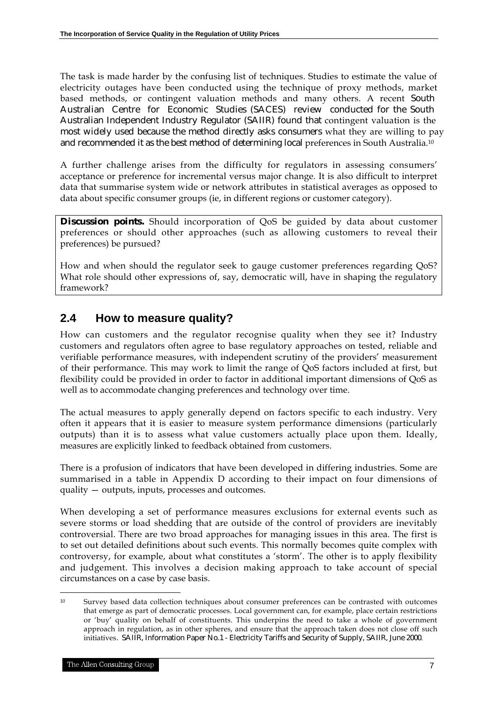The task is made harder by the confusing list of techniques. Studies to estimate the value of electricity outages have been conducted using the technique of proxy methods, market based methods, or contingent valuation methods and many others. A recent South Australian Centre for Economic Studies (SACES) review conducted for the South Australian Independent Industry Regulator (SAIIR) found that contingent valuation is the most widely used because the method directly asks consumers what they are willing to pay and recommended it as the best method of determining local preferences in South Australia.10

A further challenge arises from the difficulty for regulators in assessing consumers' acceptance or preference for incremental versus major change. It is also difficult to interpret data that summarise system wide or network attributes in statistical averages as opposed to data about specific consumer groups (ie, in different regions or customer category).

**Discussion points.** Should incorporation of QoS be guided by data about customer preferences or should other approaches (such as allowing customers to reveal their preferences) be pursued?

How and when should the regulator seek to gauge customer preferences regarding QoS? What role should other expressions of, say, democratic will, have in shaping the regulatory framework?

### **2.4 How to measure quality?**

How can customers and the regulator recognise quality when they see it? Industry customers and regulators often agree to base regulatory approaches on tested, reliable and verifiable performance measures, with independent scrutiny of the providers' measurement of their performance. This may work to limit the range of QoS factors included at first, but flexibility could be provided in order to factor in additional important dimensions of QoS as well as to accommodate changing preferences and technology over time.

The actual measures to apply generally depend on factors specific to each industry. Very often it appears that it is easier to measure system performance dimensions (particularly outputs) than it is to assess what value customers actually place upon them. Ideally, measures are explicitly linked to feedback obtained from customers.

There is a profusion of indicators that have been developed in differing industries. Some are summarised in a table in Appendix D according to their impact on four dimensions of quality — outputs, inputs, processes and outcomes.

When developing a set of performance measures exclusions for external events such as severe storms or load shedding that are outside of the control of providers are inevitably controversial. There are two broad approaches for managing issues in this area. The first is to set out detailed definitions about such events. This normally becomes quite complex with controversy, for example, about what constitutes a 'storm'. The other is to apply flexibility and judgement. This involves a decision making approach to take account of special circumstances on a case by case basis.

 $\ddot{ }$ 

<sup>10</sup> Survey based data collection techniques about consumer preferences can be contrasted with outcomes that emerge as part of democratic processes. Local government can, for example, place certain restrictions or 'buy' quality on behalf of constituents. This underpins the need to take a whole of government approach in regulation, as in other spheres, and ensure that the approach taken does not close off such initiatives. SAIIR, Information Paper No.1 - Electricity Tariffs and Security of Supply, SAIIR, June 2000.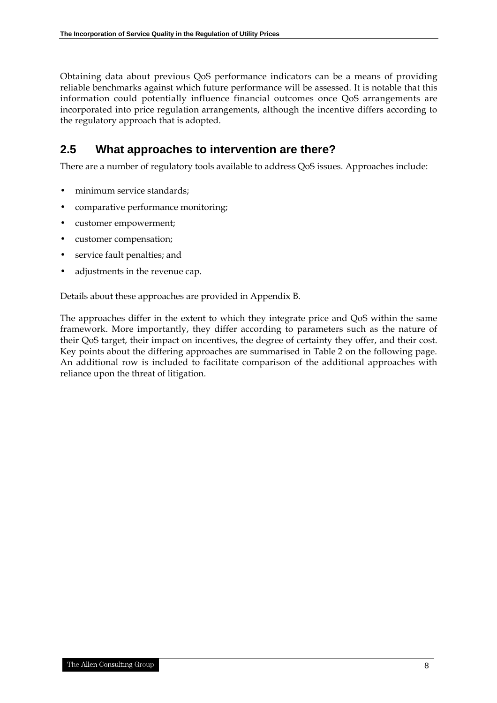Obtaining data about previous QoS performance indicators can be a means of providing reliable benchmarks against which future performance will be assessed. It is notable that this information could potentially influence financial outcomes once QoS arrangements are incorporated into price regulation arrangements, although the incentive differs according to the regulatory approach that is adopted.

# **2.5 What approaches to intervention are there?**

There are a number of regulatory tools available to address QoS issues. Approaches include:

- minimum service standards;
- comparative performance monitoring;
- customer empowerment;
- customer compensation;
- service fault penalties; and
- adjustments in the revenue cap.

Details about these approaches are provided in Appendix B.

The approaches differ in the extent to which they integrate price and QoS within the same framework. More importantly, they differ according to parameters such as the nature of their QoS target, their impact on incentives, the degree of certainty they offer, and their cost. Key points about the differing approaches are summarised in Table 2 on the following page. An additional row is included to facilitate comparison of the additional approaches with reliance upon the threat of litigation.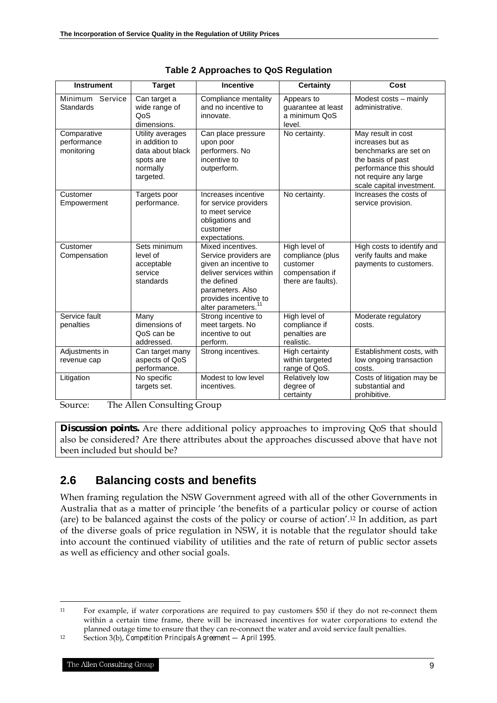| <b>Instrument</b>                        | <b>Target</b>                                                                                | <b>Incentive</b>                                                                                                                                                                              | <b>Certainty</b>                                                                       | Cost                                                                                                                                                                  |
|------------------------------------------|----------------------------------------------------------------------------------------------|-----------------------------------------------------------------------------------------------------------------------------------------------------------------------------------------------|----------------------------------------------------------------------------------------|-----------------------------------------------------------------------------------------------------------------------------------------------------------------------|
| Minimum Service<br><b>Standards</b>      | Can target a<br>wide range of<br>QoS<br>dimensions.                                          | Compliance mentality<br>and no incentive to<br>innovate.                                                                                                                                      | Appears to<br>guarantee at least<br>a minimum QoS<br>level.                            | Modest costs - mainly<br>administrative.                                                                                                                              |
| Comparative<br>performance<br>monitoring | Utility averages<br>in addition to<br>data about black<br>spots are<br>normally<br>targeted. | Can place pressure<br>upon poor<br>performers. No<br>incentive to<br>outperform.                                                                                                              | No certainty.                                                                          | May result in cost<br>increases but as<br>benchmarks are set on<br>the basis of past<br>performance this should<br>not require any large<br>scale capital investment. |
| Customer<br>Empowerment                  | Targets poor<br>performance.                                                                 | Increases incentive<br>for service providers<br>to meet service<br>obligations and<br>customer<br>expectations.                                                                               | No certainty.                                                                          | Increases the costs of<br>service provision.                                                                                                                          |
| Customer<br>Compensation                 | Sets minimum<br>level of<br>acceptable<br>service<br>standards                               | Mixed incentives.<br>Service providers are<br>given an incentive to<br>deliver services within<br>the defined<br>parameters. Also<br>provides incentive to<br>alter parameters. <sup>11</sup> | High level of<br>compliance (plus<br>customer<br>compensation if<br>there are faults). | High costs to identify and<br>verify faults and make<br>payments to customers.                                                                                        |
| Service fault<br>penalties               | Many<br>dimensions of<br>QoS can be<br>addressed.                                            | Strong incentive to<br>meet targets. No<br>incentive to out<br>perform.                                                                                                                       | High level of<br>compliance if<br>penalties are<br>realistic.                          | Moderate regulatory<br>costs.                                                                                                                                         |
| Adjustments in<br>revenue cap            | Can target many<br>aspects of QoS<br>performance.                                            | Strong incentives.                                                                                                                                                                            | High certainty<br>within targeted<br>range of QoS.                                     | Establishment costs, with<br>low ongoing transaction<br>costs.                                                                                                        |
| Litigation                               | No specific<br>targets set.                                                                  | Modest to low level<br>incentives.                                                                                                                                                            | Relatively low<br>degree of<br>certainty                                               | Costs of litigation may be<br>substantial and<br>prohibitive.                                                                                                         |

|  | <b>Table 2 Approaches to QoS Regulation</b> |  |  |
|--|---------------------------------------------|--|--|
|--|---------------------------------------------|--|--|

Source: The Allen Consulting Group

**Discussion points.** Are there additional policy approaches to improving QoS that should also be considered? Are there attributes about the approaches discussed above that have not been included but should be?

# **2.6 Balancing costs and benefits**

When framing regulation the NSW Government agreed with all of the other Governments in Australia that as a matter of principle 'the benefits of a particular policy or course of action (are) to be balanced against the costs of the policy or course of action'.12 In addition, as part of the diverse goals of price regulation in NSW, it is notable that the regulator should take into account the continued viability of utilities and the rate of return of public sector assets as well as efficiency and other social goals.

<sup>11</sup> For example, if water corporations are required to pay customers \$50 if they do not re-connect them within a certain time frame, there will be increased incentives for water corporations to extend the planned outage time to ensure that they can re-connect the water and avoid service fault penalties.

<sup>12</sup> Section 3(b), *Competition Principals Agreement — April 1995*.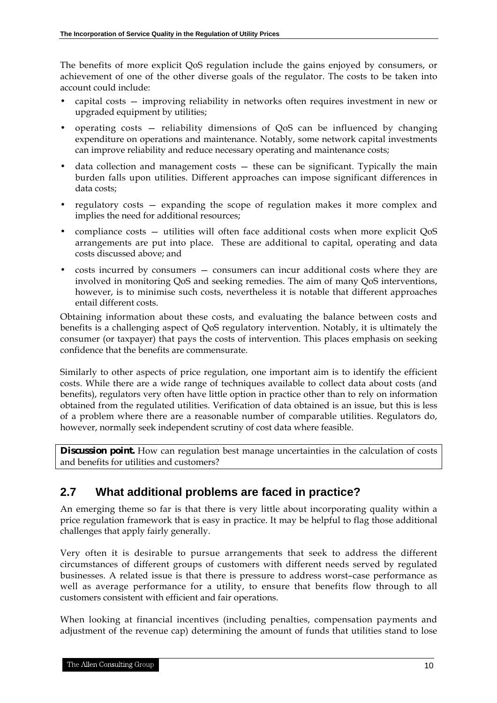The benefits of more explicit QoS regulation include the gains enjoyed by consumers, or achievement of one of the other diverse goals of the regulator. The costs to be taken into account could include:

- capital costs improving reliability in networks often requires investment in new or upgraded equipment by utilities;
- operating costs reliability dimensions of QoS can be influenced by changing expenditure on operations and maintenance. Notably, some network capital investments can improve reliability and reduce necessary operating and maintenance costs;
- data collection and management costs  $-$  these can be significant. Typically the main burden falls upon utilities. Different approaches can impose significant differences in data costs;
- regulatory costs expanding the scope of regulation makes it more complex and implies the need for additional resources;
- compliance costs utilities will often face additional costs when more explicit QoS arrangements are put into place. These are additional to capital, operating and data costs discussed above; and
- costs incurred by consumers consumers can incur additional costs where they are involved in monitoring QoS and seeking remedies. The aim of many QoS interventions, however, is to minimise such costs, nevertheless it is notable that different approaches entail different costs.

Obtaining information about these costs, and evaluating the balance between costs and benefits is a challenging aspect of QoS regulatory intervention. Notably, it is ultimately the consumer (or taxpayer) that pays the costs of intervention. This places emphasis on seeking confidence that the benefits are commensurate.

Similarly to other aspects of price regulation, one important aim is to identify the efficient costs. While there are a wide range of techniques available to collect data about costs (and benefits), regulators very often have little option in practice other than to rely on information obtained from the regulated utilities. Verification of data obtained is an issue, but this is less of a problem where there are a reasonable number of comparable utilities. Regulators do, however, normally seek independent scrutiny of cost data where feasible.

**Discussion point.** How can regulation best manage uncertainties in the calculation of costs and benefits for utilities and customers?

# **2.7 What additional problems are faced in practice?**

An emerging theme so far is that there is very little about incorporating quality within a price regulation framework that is easy in practice. It may be helpful to flag those additional challenges that apply fairly generally.

Very often it is desirable to pursue arrangements that seek to address the different circumstances of different groups of customers with different needs served by regulated businesses. A related issue is that there is pressure to address worst–case performance as well as average performance for a utility, to ensure that benefits flow through to all customers consistent with efficient and fair operations.

When looking at financial incentives (including penalties, compensation payments and adjustment of the revenue cap) determining the amount of funds that utilities stand to lose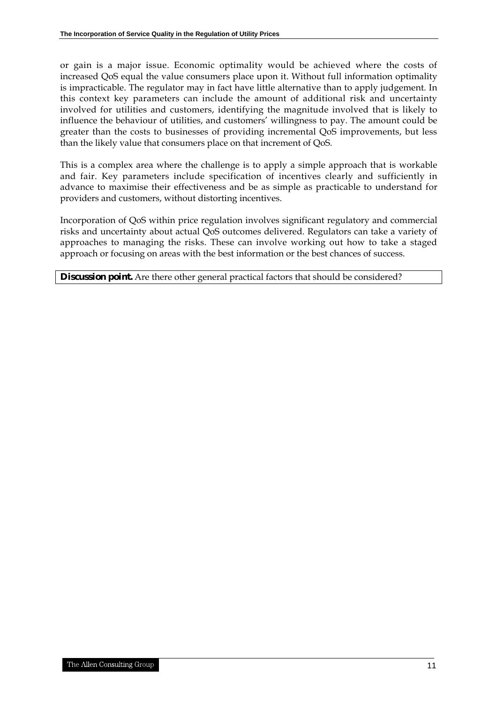or gain is a major issue. Economic optimality would be achieved where the costs of increased QoS equal the value consumers place upon it. Without full information optimality is impracticable. The regulator may in fact have little alternative than to apply judgement. In this context key parameters can include the amount of additional risk and uncertainty involved for utilities and customers, identifying the magnitude involved that is likely to influence the behaviour of utilities, and customers' willingness to pay. The amount could be greater than the costs to businesses of providing incremental QoS improvements, but less than the likely value that consumers place on that increment of QoS.

This is a complex area where the challenge is to apply a simple approach that is workable and fair. Key parameters include specification of incentives clearly and sufficiently in advance to maximise their effectiveness and be as simple as practicable to understand for providers and customers, without distorting incentives.

Incorporation of QoS within price regulation involves significant regulatory and commercial risks and uncertainty about actual QoS outcomes delivered. Regulators can take a variety of approaches to managing the risks. These can involve working out how to take a staged approach or focusing on areas with the best information or the best chances of success.

**Discussion point.** Are there other general practical factors that should be considered?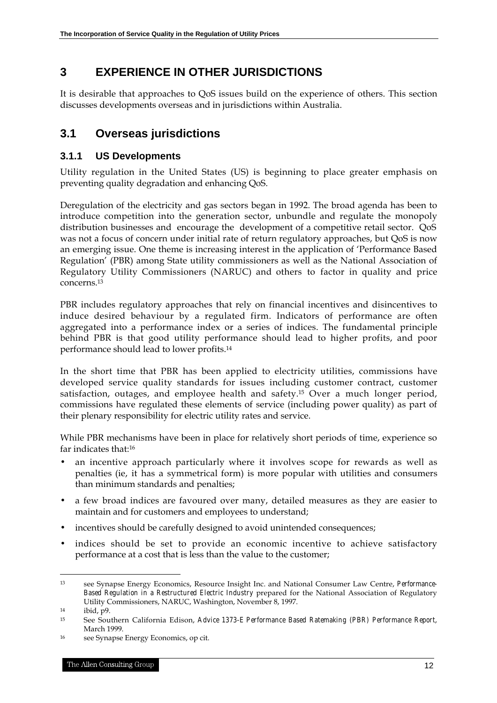# **3 EXPERIENCE IN OTHER JURISDICTIONS**

It is desirable that approaches to QoS issues build on the experience of others. This section discusses developments overseas and in jurisdictions within Australia.

# **3.1 Overseas jurisdictions**

#### **3.1.1 US Developments**

Utility regulation in the United States (US) is beginning to place greater emphasis on preventing quality degradation and enhancing QoS.

Deregulation of the electricity and gas sectors began in 1992. The broad agenda has been to introduce competition into the generation sector, unbundle and regulate the monopoly distribution businesses and encourage the development of a competitive retail sector. QoS was not a focus of concern under initial rate of return regulatory approaches, but QoS is now an emerging issue. One theme is increasing interest in the application of 'Performance Based Regulation' (PBR) among State utility commissioners as well as the National Association of Regulatory Utility Commissioners (NARUC) and others to factor in quality and price concerns.13

PBR includes regulatory approaches that rely on financial incentives and disincentives to induce desired behaviour by a regulated firm. Indicators of performance are often aggregated into a performance index or a series of indices. The fundamental principle behind PBR is that good utility performance should lead to higher profits, and poor performance should lead to lower profits.14

In the short time that PBR has been applied to electricity utilities, commissions have developed service quality standards for issues including customer contract, customer satisfaction, outages, and employee health and safety.<sup>15</sup> Over a much longer period, commissions have regulated these elements of service (including power quality) as part of their plenary responsibility for electric utility rates and service.

While PBR mechanisms have been in place for relatively short periods of time, experience so far indicates that:16

- an incentive approach particularly where it involves scope for rewards as well as penalties (ie, it has a symmetrical form) is more popular with utilities and consumers than minimum standards and penalties;
- a few broad indices are favoured over many, detailed measures as they are easier to maintain and for customers and employees to understand;
- incentives should be carefully designed to avoid unintended consequences;
- indices should be set to provide an economic incentive to achieve satisfactory performance at a cost that is less than the value to the customer;

<sup>13</sup> see Synapse Energy Economics, Resource Insight Inc. and National Consumer Law Centre, *Performance-Based Regulation in a Restructured Electric Industry* prepared for the National Association of Regulatory Utility Commissioners, NARUC, Washington, November 8, 1997.

 $14$  ibid,  $p9$ .

<sup>15</sup> See Southern California Edison, *Advice 1373-E Performance Based Ratemaking (PBR) Performance Report*, March 1999.

<sup>16</sup> see Synapse Energy Economics, op cit.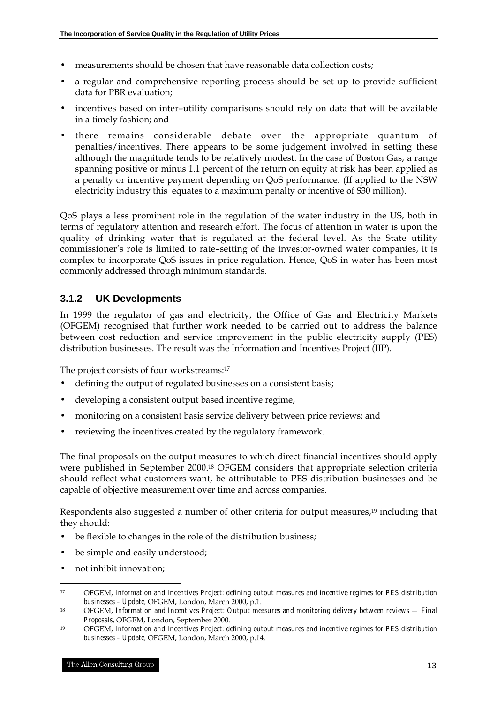- measurements should be chosen that have reasonable data collection costs;
- a regular and comprehensive reporting process should be set up to provide sufficient data for PBR evaluation;
- incentives based on inter–utility comparisons should rely on data that will be available in a timely fashion; and
- there remains considerable debate over the appropriate quantum of penalties/incentives. There appears to be some judgement involved in setting these although the magnitude tends to be relatively modest. In the case of Boston Gas, a range spanning positive or minus 1.1 percent of the return on equity at risk has been applied as a penalty or incentive payment depending on QoS performance. (If applied to the NSW electricity industry this equates to a maximum penalty or incentive of \$30 million).

QoS plays a less prominent role in the regulation of the water industry in the US, both in terms of regulatory attention and research effort. The focus of attention in water is upon the quality of drinking water that is regulated at the federal level. As the State utility commissioner's role is limited to rate–setting of the investor-owned water companies, it is complex to incorporate QoS issues in price regulation. Hence, QoS in water has been most commonly addressed through minimum standards.

#### **3.1.2 UK Developments**

In 1999 the regulator of gas and electricity, the Office of Gas and Electricity Markets (OFGEM) recognised that further work needed to be carried out to address the balance between cost reduction and service improvement in the public electricity supply (PES) distribution businesses. The result was the Information and Incentives Project (IIP).

The project consists of four workstreams:17

- defining the output of regulated businesses on a consistent basis;
- developing a consistent output based incentive regime;
- monitoring on a consistent basis service delivery between price reviews; and
- reviewing the incentives created by the regulatory framework.

The final proposals on the output measures to which direct financial incentives should apply were published in September 2000.18 OFGEM considers that appropriate selection criteria should reflect what customers want, be attributable to PES distribution businesses and be capable of objective measurement over time and across companies.

Respondents also suggested a number of other criteria for output measures,<sup>19</sup> including that they should:

- be flexible to changes in the role of the distribution business;
- be simple and easily understood;
- not inhibit innovation;

1

<sup>17</sup> OFGEM, *Information and Incentives Project: defining output measures and incentive regimes for PES distribution businesses – Update,* OFGEM, London, March 2000, p.1.

<sup>18</sup> OFGEM, *Information and Incentives Project: Output measures and monitoring delivery between reviews — Final Proposals*, OFGEM, London, September 2000.

<sup>19</sup> OFGEM, *Information and Incentives Project: defining output measures and incentive regimes for PES distribution businesses – Update,* OFGEM, London, March 2000, p.14.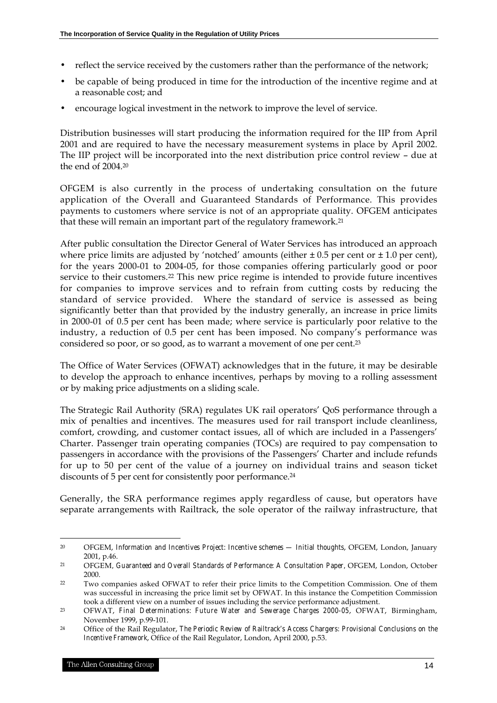- reflect the service received by the customers rather than the performance of the network;
- be capable of being produced in time for the introduction of the incentive regime and at a reasonable cost; and
- encourage logical investment in the network to improve the level of service.

Distribution businesses will start producing the information required for the IIP from April 2001 and are required to have the necessary measurement systems in place by April 2002. The IIP project will be incorporated into the next distribution price control review – due at the end of 2004.20

OFGEM is also currently in the process of undertaking consultation on the future application of the Overall and Guaranteed Standards of Performance. This provides payments to customers where service is not of an appropriate quality. OFGEM anticipates that these will remain an important part of the regulatory framework.21

After public consultation the Director General of Water Services has introduced an approach where price limits are adjusted by 'notched' amounts (either  $\pm 0.5$  per cent or  $\pm 1.0$  per cent), for the years 2000-01 to 2004-05, for those companies offering particularly good or poor service to their customers.<sup>22</sup> This new price regime is intended to provide future incentives for companies to improve services and to refrain from cutting costs by reducing the standard of service provided. Where the standard of service is assessed as being significantly better than that provided by the industry generally, an increase in price limits in 2000-01 of 0.5 per cent has been made; where service is particularly poor relative to the industry, a reduction of 0.5 per cent has been imposed. No company's performance was considered so poor, or so good, as to warrant a movement of one per cent.23

The Office of Water Services (OFWAT) acknowledges that in the future, it may be desirable to develop the approach to enhance incentives, perhaps by moving to a rolling assessment or by making price adjustments on a sliding scale.

The Strategic Rail Authority (SRA) regulates UK rail operators' QoS performance through a mix of penalties and incentives. The measures used for rail transport include cleanliness, comfort, crowding, and customer contact issues, all of which are included in a Passengers' Charter. Passenger train operating companies (TOCs) are required to pay compensation to passengers in accordance with the provisions of the Passengers' Charter and include refunds for up to 50 per cent of the value of a journey on individual trains and season ticket discounts of 5 per cent for consistently poor performance.24

Generally, the SRA performance regimes apply regardless of cause, but operators have separate arrangements with Railtrack, the sole operator of the railway infrastructure, that

<sup>20</sup> OFGEM, *Information and Incentives Project: Incentive schemes — Initial thoughts*, OFGEM, London, January 2001, p.46.

<sup>21</sup> OFGEM*, Guaranteed and Overall Standards of Performance: A Consultation Paper,* OFGEM, London, October 2000.

<sup>22</sup> Two companies asked OFWAT to refer their price limits to the Competition Commission. One of them was successful in increasing the price limit set by OFWAT. In this instance the Competition Commission took a different view on a number of issues including the service performance adjustment.

<sup>23</sup> OFWAT, *Final Determinations: Future Water and Sewerage Charges 2000-05*, OFWAT, Birmingham, November 1999, p.99-101.

<sup>24</sup> Office of the Rail Regulator, *The Periodic Review of Railtrack's Access Chargers: Provisional Conclusions on the Incentive Framework*, Office of the Rail Regulator, London, April 2000, p.53.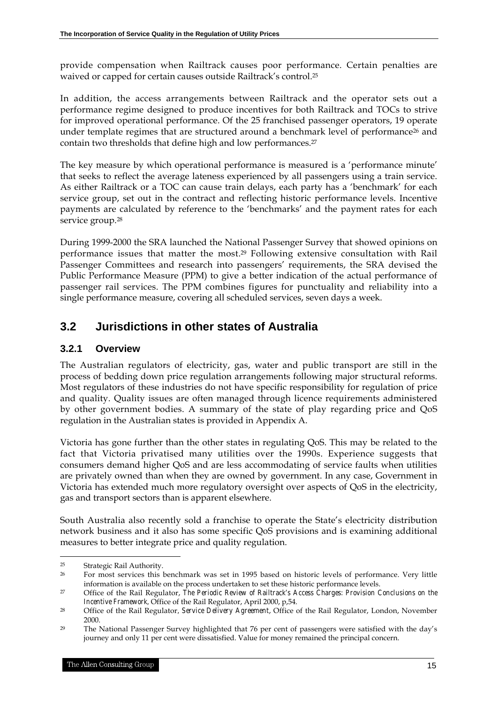provide compensation when Railtrack causes poor performance. Certain penalties are waived or capped for certain causes outside Railtrack's control.25

In addition, the access arrangements between Railtrack and the operator sets out a performance regime designed to produce incentives for both Railtrack and TOCs to strive for improved operational performance. Of the 25 franchised passenger operators, 19 operate under template regimes that are structured around a benchmark level of performance<sup>26</sup> and contain two thresholds that define high and low performances.27

The key measure by which operational performance is measured is a 'performance minute' that seeks to reflect the average lateness experienced by all passengers using a train service. As either Railtrack or a TOC can cause train delays, each party has a 'benchmark' for each service group, set out in the contract and reflecting historic performance levels. Incentive payments are calculated by reference to the 'benchmarks' and the payment rates for each service group.<sup>28</sup>

During 1999-2000 the SRA launched the National Passenger Survey that showed opinions on performance issues that matter the most.29 Following extensive consultation with Rail Passenger Committees and research into passengers' requirements, the SRA devised the Public Performance Measure (PPM) to give a better indication of the actual performance of passenger rail services. The PPM combines figures for punctuality and reliability into a single performance measure, covering all scheduled services, seven days a week.

# **3.2 Jurisdictions in other states of Australia**

### **3.2.1 Overview**

The Australian regulators of electricity, gas, water and public transport are still in the process of bedding down price regulation arrangements following major structural reforms. Most regulators of these industries do not have specific responsibility for regulation of price and quality. Quality issues are often managed through licence requirements administered by other government bodies. A summary of the state of play regarding price and QoS regulation in the Australian states is provided in Appendix A.

Victoria has gone further than the other states in regulating QoS. This may be related to the fact that Victoria privatised many utilities over the 1990s. Experience suggests that consumers demand higher QoS and are less accommodating of service faults when utilities are privately owned than when they are owned by government. In any case, Government in Victoria has extended much more regulatory oversight over aspects of QoS in the electricity, gas and transport sectors than is apparent elsewhere.

South Australia also recently sold a franchise to operate the State's electricity distribution network business and it also has some specific QoS provisions and is examining additional measures to better integrate price and quality regulation.

1

<sup>25</sup> Strategic Rail Authority.

<sup>&</sup>lt;sup>26</sup> For most services this benchmark was set in 1995 based on historic levels of performance. Very little information is available on the process undertaken to set these historic performance levels.

<sup>27</sup> Office of the Rail Regulator, *The Periodic Review of Railtrack's Access Charges: Provision Conclusions on the Incentive Framework,* Office of the Rail Regulator, April 2000, p,54.

<sup>28</sup> Office of the Rail Regulator*, Service Delivery Agreement*, Office of the Rail Regulator, London, November 2000.

<sup>29</sup> The National Passenger Survey highlighted that 76 per cent of passengers were satisfied with the day's journey and only 11 per cent were dissatisfied. Value for money remained the principal concern.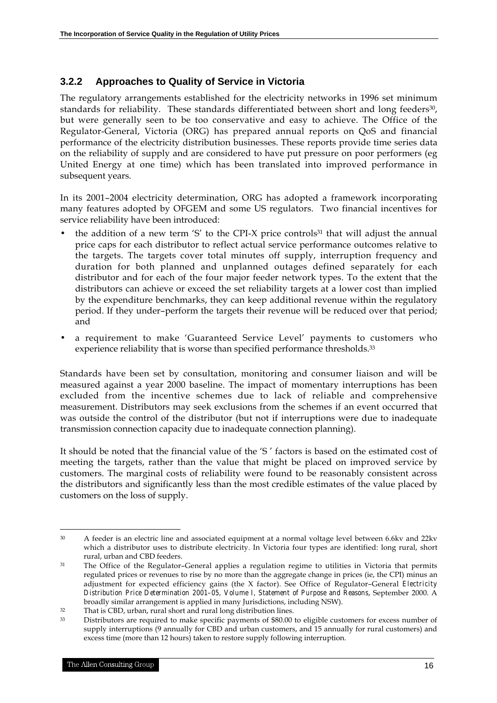#### **3.2.2 Approaches to Quality of Service in Victoria**

The regulatory arrangements established for the electricity networks in 1996 set minimum standards for reliability. These standards differentiated between short and long feeders<sup>30</sup>, but were generally seen to be too conservative and easy to achieve. The Office of the Regulator-General, Victoria (ORG) has prepared annual reports on QoS and financial performance of the electricity distribution businesses. These reports provide time series data on the reliability of supply and are considered to have put pressure on poor performers (eg United Energy at one time) which has been translated into improved performance in subsequent years.

In its 2001–2004 electricity determination, ORG has adopted a framework incorporating many features adopted by OFGEM and some US regulators. Two financial incentives for service reliability have been introduced:

- the addition of a new term 'S' to the CPI-X price controls<sup>31</sup> that will adjust the annual price caps for each distributor to reflect actual service performance outcomes relative to the targets. The targets cover total minutes off supply, interruption frequency and duration for both planned and unplanned outages defined separately for each distributor and for each of the four major feeder network types. To the extent that the distributors can achieve or exceed the set reliability targets at a lower cost than implied by the expenditure benchmarks, they can keep additional revenue within the regulatory period. If they under–perform the targets their revenue will be reduced over that period; and
- a requirement to make 'Guaranteed Service Level' payments to customers who experience reliability that is worse than specified performance thresholds.<sup>33</sup>

Standards have been set by consultation, monitoring and consumer liaison and will be measured against a year 2000 baseline. The impact of momentary interruptions has been excluded from the incentive schemes due to lack of reliable and comprehensive measurement. Distributors may seek exclusions from the schemes if an event occurred that was outside the control of the distributor (but not if interruptions were due to inadequate transmission connection capacity due to inadequate connection planning).

It should be noted that the financial value of the 'S ' factors is based on the estimated cost of meeting the targets, rather than the value that might be placed on improved service by customers. The marginal costs of reliability were found to be reasonably consistent across the distributors and significantly less than the most credible estimates of the value placed by customers on the loss of supply.

 $\overline{a}$ <sup>30</sup> A feeder is an electric line and associated equipment at a normal voltage level between 6.6kv and 22kv which a distributor uses to distribute electricity. In Victoria four types are identified: long rural, short rural, urban and CBD feeders.

<sup>31</sup> The Office of the Regulator–General applies a regulation regime to utilities in Victoria that permits regulated prices or revenues to rise by no more than the aggregate change in prices (ie, the CPI) minus an adjustment for expected efficiency gains (the X factor). See Office of Regulator–General *Electricity Distribution Price Determination 2001–05, Volume I, Statement of Purpose and Reasons*, September 2000. A broadly similar arrangement is applied in many Jurisdictions, including NSW).

<sup>32</sup> That is CBD, urban, rural short and rural long distribution lines.

<sup>33</sup> Distributors are required to make specific payments of \$80.00 to eligible customers for excess number of supply interruptions (9 annually for CBD and urban customers, and 15 annually for rural customers) and excess time (more than 12 hours) taken to restore supply following interruption.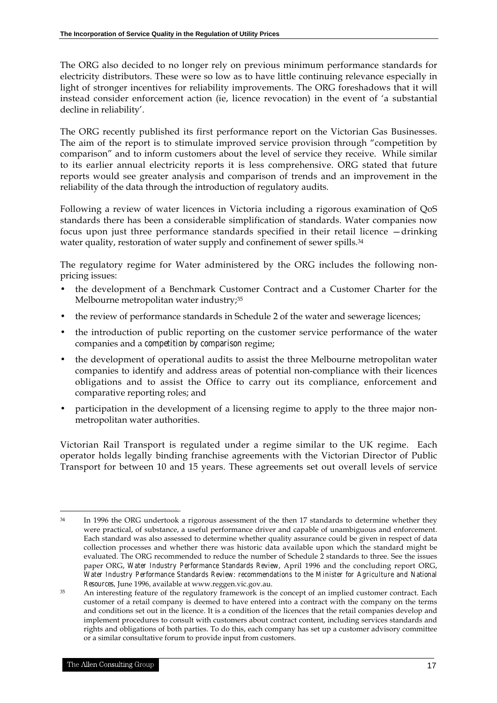The ORG also decided to no longer rely on previous minimum performance standards for electricity distributors. These were so low as to have little continuing relevance especially in light of stronger incentives for reliability improvements. The ORG foreshadows that it will instead consider enforcement action (ie, licence revocation) in the event of 'a substantial decline in reliability'.

The ORG recently published its first performance report on the Victorian Gas Businesses. The aim of the report is to stimulate improved service provision through "competition by comparison" and to inform customers about the level of service they receive. While similar to its earlier annual electricity reports it is less comprehensive. ORG stated that future reports would see greater analysis and comparison of trends and an improvement in the reliability of the data through the introduction of regulatory audits.

Following a review of water licences in Victoria including a rigorous examination of QoS standards there has been a considerable simplification of standards. Water companies now focus upon just three performance standards specified in their retail licence —drinking water quality, restoration of water supply and confinement of sewer spills.<sup>34</sup>

The regulatory regime for Water administered by the ORG includes the following nonpricing issues:

- the development of a Benchmark Customer Contract and a Customer Charter for the Melbourne metropolitan water industry;<sup>35</sup>
- the review of performance standards in Schedule 2 of the water and sewerage licences;
- the introduction of public reporting on the customer service performance of the water companies and a *competition by comparison* regime;
- the development of operational audits to assist the three Melbourne metropolitan water companies to identify and address areas of potential non-compliance with their licences obligations and to assist the Office to carry out its compliance, enforcement and comparative reporting roles; and
- participation in the development of a licensing regime to apply to the three major nonmetropolitan water authorities.

Victorian Rail Transport is regulated under a regime similar to the UK regime. Each operator holds legally binding franchise agreements with the Victorian Director of Public Transport for between 10 and 15 years. These agreements set out overall levels of service

 $\overline{a}$ <sup>34</sup> In 1996 the ORG undertook a rigorous assessment of the then 17 standards to determine whether they were practical, of substance, a useful performance driver and capable of unambiguous and enforcement. Each standard was also assessed to determine whether quality assurance could be given in respect of data collection processes and whether there was historic data available upon which the standard might be evaluated. The ORG recommended to reduce the number of Schedule 2 standards to three. See the issues paper ORG, *Water Industry Performance Standards Review*, April 1996 and the concluding report ORG, *Water Industry Performance Standards Review: recommendations to the Minister for Agriculture and National Resources,* June 1996*,* available at www.reggen.vic.gov.au.

<sup>&</sup>lt;sup>35</sup> An interesting feature of the regulatory framework is the concept of an implied customer contract. Each customer of a retail company is deemed to have entered into a contract with the company on the terms and conditions set out in the licence. It is a condition of the licences that the retail companies develop and implement procedures to consult with customers about contract content, including services standards and rights and obligations of both parties. To do this, each company has set up a customer advisory committee or a similar consultative forum to provide input from customers.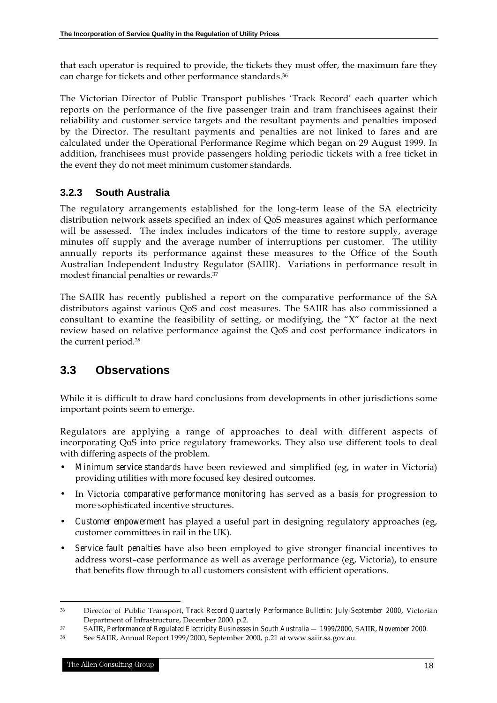that each operator is required to provide, the tickets they must offer, the maximum fare they can charge for tickets and other performance standards.36

The Victorian Director of Public Transport publishes 'Track Record' each quarter which reports on the performance of the five passenger train and tram franchisees against their reliability and customer service targets and the resultant payments and penalties imposed by the Director. The resultant payments and penalties are not linked to fares and are calculated under the Operational Performance Regime which began on 29 August 1999. In addition, franchisees must provide passengers holding periodic tickets with a free ticket in the event they do not meet minimum customer standards.

### **3.2.3 South Australia**

The regulatory arrangements established for the long-term lease of the SA electricity distribution network assets specified an index of QoS measures against which performance will be assessed. The index includes indicators of the time to restore supply, average minutes off supply and the average number of interruptions per customer. The utility annually reports its performance against these measures to the Office of the South Australian Independent Industry Regulator (SAIIR). Variations in performance result in modest financial penalties or rewards.37

The SAIIR has recently published a report on the comparative performance of the SA distributors against various QoS and cost measures. The SAIIR has also commissioned a consultant to examine the feasibility of setting, or modifying, the "X" factor at the next review based on relative performance against the QoS and cost performance indicators in the current period.38

# **3.3 Observations**

While it is difficult to draw hard conclusions from developments in other jurisdictions some important points seem to emerge.

Regulators are applying a range of approaches to deal with different aspects of incorporating QoS into price regulatory frameworks. They also use different tools to deal with differing aspects of the problem.

- *Minimum service standards* have been reviewed and simplified (eg, in water in Victoria) providing utilities with more focused key desired outcomes.
- In Victoria *comparative performance monitoring* has served as a basis for progression to more sophisticated incentive structures.
- *Customer empowerment* has played a useful part in designing regulatory approaches (eg, customer committees in rail in the UK).
- *Service fault penalties* have also been employed to give stronger financial incentives to address worst–case performance as well as average performance (eg, Victoria), to ensure that benefits flow through to all customers consistent with efficient operations.

<sup>36</sup> Director of Public Transport*, Track Record Quarterly Performance Bulletin: July-September 2000*, Victorian Department of Infrastructure, December 2000. p.2.

<sup>37</sup> SAIIR, *Performance of Regulated Electricity Businesses in South Australia — 1999/2000,* SAIIR, *November 2000.*

<sup>38</sup> See SAIIR, Annual Report 1999/2000, September 2000, p.21 at www.saiir.sa.gov.au.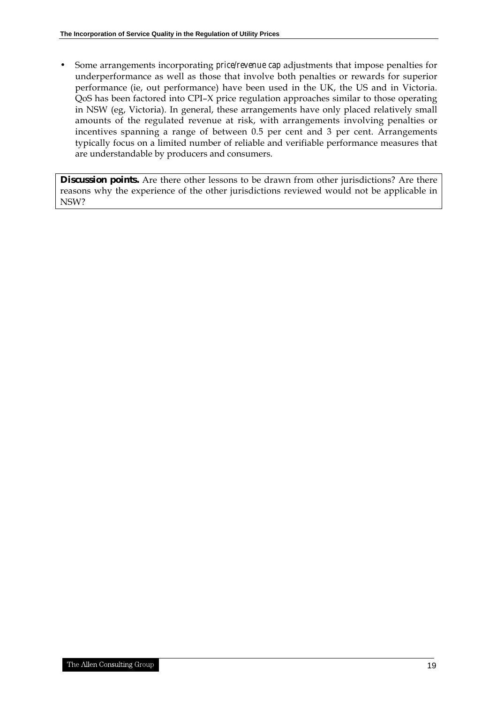• Some arrangements incorporating *price/revenue cap* adjustments that impose penalties for underperformance as well as those that involve both penalties or rewards for superior performance (ie, out performance) have been used in the UK, the US and in Victoria. QoS has been factored into CPI–X price regulation approaches similar to those operating in NSW (eg, Victoria). In general, these arrangements have only placed relatively small amounts of the regulated revenue at risk, with arrangements involving penalties or incentives spanning a range of between 0.5 per cent and 3 per cent. Arrangements typically focus on a limited number of reliable and verifiable performance measures that are understandable by producers and consumers.

**Discussion points.** Are there other lessons to be drawn from other jurisdictions? Are there reasons why the experience of the other jurisdictions reviewed would not be applicable in NSW?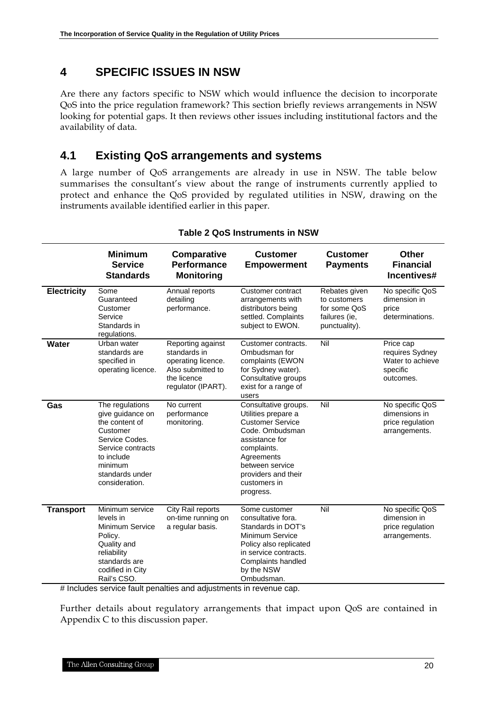### **4 SPECIFIC ISSUES IN NSW**

Are there any factors specific to NSW which would influence the decision to incorporate QoS into the price regulation framework? This section briefly reviews arrangements in NSW looking for potential gaps. It then reviews other issues including institutional factors and the availability of data.

### **4.1 Existing QoS arrangements and systems**

A large number of QoS arrangements are already in use in NSW. The table below summarises the consultant's view about the range of instruments currently applied to protect and enhance the QoS provided by regulated utilities in NSW, drawing on the instruments available identified earlier in this paper.

|                    | <b>Minimum</b><br><b>Service</b><br><b>Standards</b>                                                                                                                   | <b>Comparative</b><br><b>Performance</b><br><b>Monitoring</b>                                                     | <b>Customer</b><br><b>Empowerment</b>                                                                                                                                                                           | <b>Customer</b><br><b>Payments</b>                                              | <b>Other</b><br><b>Financial</b><br>Incentives#                           |
|--------------------|------------------------------------------------------------------------------------------------------------------------------------------------------------------------|-------------------------------------------------------------------------------------------------------------------|-----------------------------------------------------------------------------------------------------------------------------------------------------------------------------------------------------------------|---------------------------------------------------------------------------------|---------------------------------------------------------------------------|
| <b>Electricity</b> | Some<br>Guaranteed<br>Customer<br>Service<br>Standards in<br>regulations.                                                                                              | Annual reports<br>detailing<br>performance.                                                                       | Customer contract<br>arrangements with<br>distributors being<br>settled. Complaints<br>subject to EWON.                                                                                                         | Rebates given<br>to customers<br>for some QoS<br>failures (ie,<br>punctuality). | No specific QoS<br>dimension in<br>price<br>determinations.               |
| Water              | Urban water<br>standards are<br>specified in<br>operating licence.                                                                                                     | Reporting against<br>standards in<br>operating licence.<br>Also submitted to<br>the licence<br>regulator (IPART). | Customer contracts.<br>Ombudsman for<br>complaints (EWON<br>for Sydney water).<br>Consultative groups<br>exist for a range of<br>users                                                                          | Nil                                                                             | Price cap<br>requires Sydney<br>Water to achieve<br>specific<br>outcomes. |
| Gas                | The regulations<br>give guidance on<br>the content of<br>Customer<br>Service Codes.<br>Service contracts<br>to include<br>minimum<br>standards under<br>consideration. | No current<br>performance<br>monitoring.                                                                          | Consultative groups.<br>Utilities prepare a<br><b>Customer Service</b><br>Code, Ombudsman<br>assistance for<br>complaints.<br>Agreements<br>between service<br>providers and their<br>customers in<br>progress. | Nil                                                                             | No specific QoS<br>dimensions in<br>price regulation<br>arrangements.     |
| <b>Transport</b>   | Minimum service<br>levels in<br>Minimum Service<br>Policy.<br>Quality and<br>reliability<br>standards are<br>codified in City<br>Rail's CSO.                           | City Rail reports<br>on-time running on<br>a regular basis.                                                       | Some customer<br>consultative fora.<br>Standards in DOT's<br>Minimum Service<br>Policy also replicated<br>in service contracts.<br>Complaints handled<br>by the NSW<br>Ombudsman.                               | Nil                                                                             | No specific QoS<br>dimension in<br>price regulation<br>arrangements.      |

#### **Table 2 QoS Instruments in NSW**

# Includes service fault penalties and adjustments in revenue cap.

Further details about regulatory arrangements that impact upon QoS are contained in Appendix C to this discussion paper.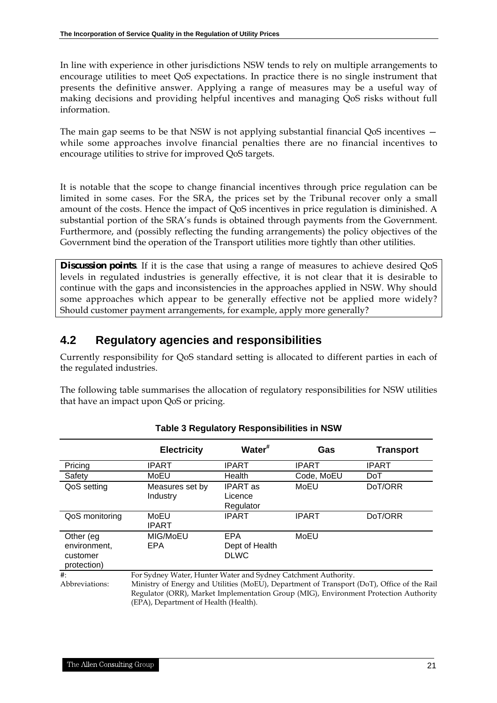In line with experience in other jurisdictions NSW tends to rely on multiple arrangements to encourage utilities to meet QoS expectations. In practice there is no single instrument that presents the definitive answer. Applying a range of measures may be a useful way of making decisions and providing helpful incentives and managing QoS risks without full information.

The main gap seems to be that NSW is not applying substantial financial QoS incentives while some approaches involve financial penalties there are no financial incentives to encourage utilities to strive for improved QoS targets.

It is notable that the scope to change financial incentives through price regulation can be limited in some cases. For the SRA, the prices set by the Tribunal recover only a small amount of the costs. Hence the impact of QoS incentives in price regulation is diminished. A substantial portion of the SRA's funds is obtained through payments from the Government. Furthermore, and (possibly reflecting the funding arrangements) the policy objectives of the Government bind the operation of the Transport utilities more tightly than other utilities.

**Discussion points**. If it is the case that using a range of measures to achieve desired QoS levels in regulated industries is generally effective, it is not clear that it is desirable to continue with the gaps and inconsistencies in the approaches applied in NSW. Why should some approaches which appear to be generally effective not be applied more widely? Should customer payment arrangements, for example, apply more generally?

### **4.2 Regulatory agencies and responsibilities**

Currently responsibility for QoS standard setting is allocated to different parties in each of the regulated industries.

The following table summarises the allocation of regulatory responsibilities for NSW utilities that have an impact upon QoS or pricing.

|                                                      | <b>Electricity</b>                                                     | Water <sup>#</sup>                                                                                                                                                                                                                                                                            | Gas          | <b>Transport</b> |  |
|------------------------------------------------------|------------------------------------------------------------------------|-----------------------------------------------------------------------------------------------------------------------------------------------------------------------------------------------------------------------------------------------------------------------------------------------|--------------|------------------|--|
| Pricing                                              | <b>IPART</b>                                                           | <b>IPART</b>                                                                                                                                                                                                                                                                                  | <b>IPART</b> | <b>IPART</b>     |  |
| Safety                                               | MoEU                                                                   | Health                                                                                                                                                                                                                                                                                        | Code, MoEU   | <b>DoT</b>       |  |
| QoS setting                                          | Measures set by<br>Industry                                            | <b>IPART</b> as<br>Licence<br>Regulator                                                                                                                                                                                                                                                       | MoEU         | DoT/ORR          |  |
| QoS monitoring                                       | MoEU<br><b>IPART</b>                                                   | <b>IPART</b>                                                                                                                                                                                                                                                                                  | <b>IPART</b> | DoT/ORR          |  |
| Other (eg<br>environment.<br>customer<br>protection) | <b>EPA</b><br>MoEU<br>MIG/MoEU<br>EPA<br>Dept of Health<br><b>DLWC</b> |                                                                                                                                                                                                                                                                                               |              |                  |  |
| $\#$<br>Abbreviations:                               |                                                                        | For Sydney Water, Hunter Water and Sydney Catchment Authority.<br>Ministry of Energy and Utilities (MoEU), Department of Transport (DoT), Office of the Rail<br>Regulator (ORR), Market Implementation Group (MIG), Environment Protection Authority<br>(EPA), Department of Health (Health). |              |                  |  |

#### **Table 3 Regulatory Responsibilities in NSW**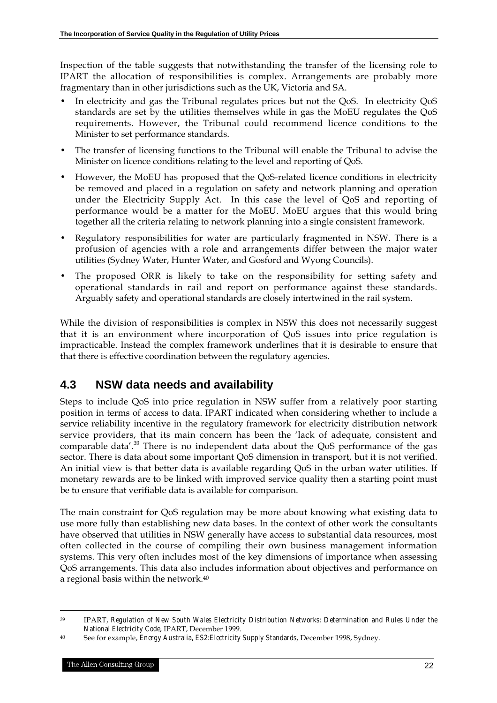Inspection of the table suggests that notwithstanding the transfer of the licensing role to IPART the allocation of responsibilities is complex. Arrangements are probably more fragmentary than in other jurisdictions such as the UK, Victoria and SA.

- In electricity and gas the Tribunal regulates prices but not the QoS. In electricity QoS standards are set by the utilities themselves while in gas the MoEU regulates the QoS requirements. However, the Tribunal could recommend licence conditions to the Minister to set performance standards.
- The transfer of licensing functions to the Tribunal will enable the Tribunal to advise the Minister on licence conditions relating to the level and reporting of QoS.
- However, the MoEU has proposed that the QoS-related licence conditions in electricity be removed and placed in a regulation on safety and network planning and operation under the Electricity Supply Act. In this case the level of QoS and reporting of performance would be a matter for the MoEU. MoEU argues that this would bring together all the criteria relating to network planning into a single consistent framework.
- Regulatory responsibilities for water are particularly fragmented in NSW. There is a profusion of agencies with a role and arrangements differ between the major water utilities (Sydney Water, Hunter Water, and Gosford and Wyong Councils).
- The proposed ORR is likely to take on the responsibility for setting safety and operational standards in rail and report on performance against these standards. Arguably safety and operational standards are closely intertwined in the rail system.

While the division of responsibilities is complex in NSW this does not necessarily suggest that it is an environment where incorporation of QoS issues into price regulation is impracticable. Instead the complex framework underlines that it is desirable to ensure that that there is effective coordination between the regulatory agencies.

# **4.3 NSW data needs and availability**

Steps to include QoS into price regulation in NSW suffer from a relatively poor starting position in terms of access to data. IPART indicated when considering whether to include a service reliability incentive in the regulatory framework for electricity distribution network service providers, that its main concern has been the 'lack of adequate, consistent and comparable data'.<sup>39</sup> There is no independent data about the QoS performance of the gas sector. There is data about some important QoS dimension in transport, but it is not verified. An initial view is that better data is available regarding QoS in the urban water utilities. If monetary rewards are to be linked with improved service quality then a starting point must be to ensure that verifiable data is available for comparison.

The main constraint for QoS regulation may be more about knowing what existing data to use more fully than establishing new data bases. In the context of other work the consultants have observed that utilities in NSW generally have access to substantial data resources, most often collected in the course of compiling their own business management information systems. This very often includes most of the key dimensions of importance when assessing QoS arrangements. This data also includes information about objectives and performance on a regional basis within the network.40

<sup>39</sup> IPART, *Regulation of New South Wales Electricity Distribution Networks: Determination and Rules Under the National Electricity Code*, IPART, December 1999.

<sup>40</sup> See for example, *Energy Australia, ES2:Electricity Supply Standards*, December 1998, Sydney.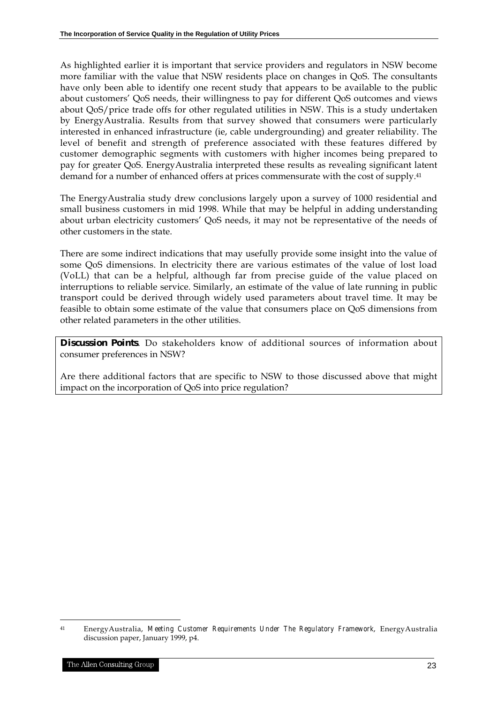As highlighted earlier it is important that service providers and regulators in NSW become more familiar with the value that NSW residents place on changes in QoS. The consultants have only been able to identify one recent study that appears to be available to the public about customers' QoS needs, their willingness to pay for different QoS outcomes and views about QoS/price trade offs for other regulated utilities in NSW. This is a study undertaken by EnergyAustralia. Results from that survey showed that consumers were particularly interested in enhanced infrastructure (ie, cable undergrounding) and greater reliability. The level of benefit and strength of preference associated with these features differed by customer demographic segments with customers with higher incomes being prepared to pay for greater QoS. EnergyAustralia interpreted these results as revealing significant latent demand for a number of enhanced offers at prices commensurate with the cost of supply.41

The EnergyAustralia study drew conclusions largely upon a survey of 1000 residential and small business customers in mid 1998. While that may be helpful in adding understanding about urban electricity customers' QoS needs, it may not be representative of the needs of other customers in the state.

There are some indirect indications that may usefully provide some insight into the value of some QoS dimensions. In electricity there are various estimates of the value of lost load (VoLL) that can be a helpful, although far from precise guide of the value placed on interruptions to reliable service. Similarly, an estimate of the value of late running in public transport could be derived through widely used parameters about travel time. It may be feasible to obtain some estimate of the value that consumers place on QoS dimensions from other related parameters in the other utilities.

**Discussion Points**. Do stakeholders know of additional sources of information about consumer preferences in NSW?

Are there additional factors that are specific to NSW to those discussed above that might impact on the incorporation of QoS into price regulation?

1

<sup>41</sup> EnergyAustralia, *Meeting Customer Requirements Under The Regulatory Framework*, EnergyAustralia discussion paper, January 1999, p4.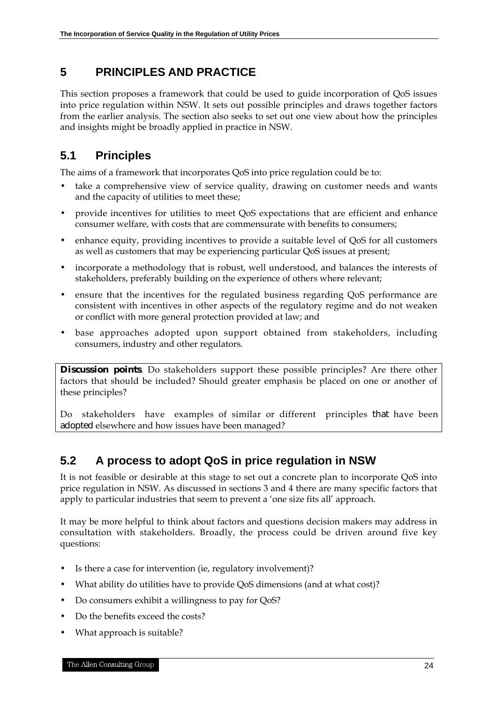# **5 PRINCIPLES AND PRACTICE**

This section proposes a framework that could be used to guide incorporation of QoS issues into price regulation within NSW. It sets out possible principles and draws together factors from the earlier analysis. The section also seeks to set out one view about how the principles and insights might be broadly applied in practice in NSW.

# **5.1 Principles**

The aims of a framework that incorporates QoS into price regulation could be to:

- take a comprehensive view of service quality, drawing on customer needs and wants and the capacity of utilities to meet these;
- provide incentives for utilities to meet QoS expectations that are efficient and enhance consumer welfare, with costs that are commensurate with benefits to consumers;
- enhance equity, providing incentives to provide a suitable level of QoS for all customers as well as customers that may be experiencing particular QoS issues at present;
- incorporate a methodology that is robust, well understood, and balances the interests of stakeholders, preferably building on the experience of others where relevant;
- ensure that the incentives for the regulated business regarding QoS performance are consistent with incentives in other aspects of the regulatory regime and do not weaken or conflict with more general protection provided at law; and
- base approaches adopted upon support obtained from stakeholders, including consumers, industry and other regulators.

**Discussion points**. Do stakeholders support these possible principles? Are there other factors that should be included? Should greater emphasis be placed on one or another of these principles?

Do stakeholders have examples of similar or different principles that have been adopted elsewhere and how issues have been managed?

# **5.2 A process to adopt QoS in price regulation in NSW**

It is not feasible or desirable at this stage to set out a concrete plan to incorporate QoS into price regulation in NSW. As discussed in sections 3 and 4 there are many specific factors that apply to particular industries that seem to prevent a 'one size fits all' approach.

It may be more helpful to think about factors and questions decision makers may address in consultation with stakeholders. Broadly, the process could be driven around five key questions:

- Is there a case for intervention (ie, regulatory involvement)?
- What ability do utilities have to provide QoS dimensions (and at what cost)?
- Do consumers exhibit a willingness to pay for QoS?
- Do the benefits exceed the costs?
- What approach is suitable?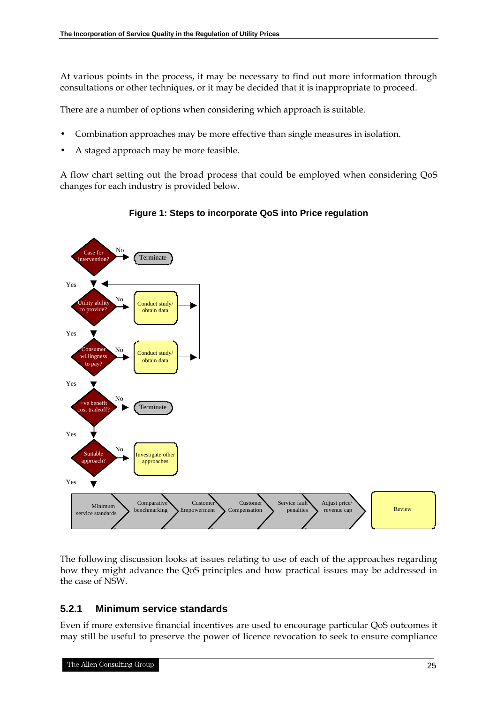At various points in the process, it may be necessary to find out more information through consultations or other techniques, or it may be decided that it is inappropriate to proceed.

There are a number of options when considering which approach is suitable.

- Combination approaches may be more effective than single measures in isolation.
- A staged approach may be more feasible.

A flow chart setting out the broad process that could be employed when considering QoS changes for each industry is provided below.

![](_page_28_Figure_6.jpeg)

#### **Figure 1: Steps to incorporate QoS into Price regulation**

The following discussion looks at issues relating to use of each of the approaches regarding how they might advance the QoS principles and how practical issues may be addressed in the case of NSW.

#### **5.2.1 Minimum service standards**

Even if more extensive financial incentives are used to encourage particular QoS outcomes it may still be useful to preserve the power of licence revocation to seek to ensure compliance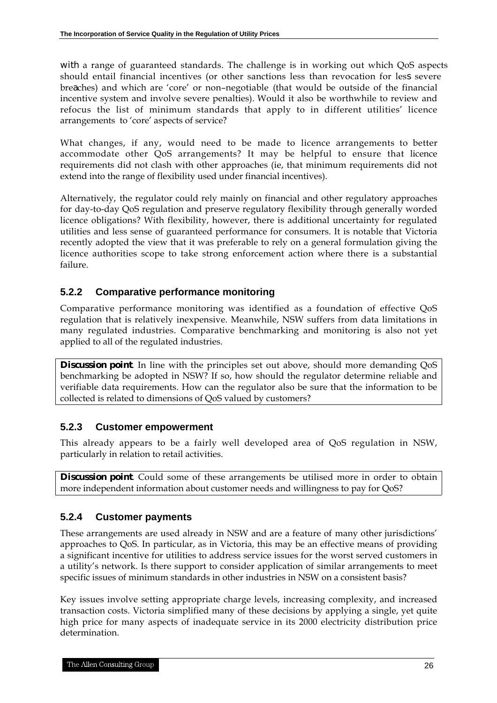with a range of guaranteed standards. The challenge is in working out which QoS aspects should entail financial incentives (or other sanctions less than revocation for less severe breaches) and which are 'core' or non–negotiable (that would be outside of the financial incentive system and involve severe penalties). Would it also be worthwhile to review and refocus the list of minimum standards that apply to in different utilities' licence arrangements to 'core' aspects of service?

What changes, if any, would need to be made to licence arrangements to better accommodate other QoS arrangements? It may be helpful to ensure that licence requirements did not clash with other approaches (ie, that minimum requirements did not extend into the range of flexibility used under financial incentives).

Alternatively, the regulator could rely mainly on financial and other regulatory approaches for day-to-day QoS regulation and preserve regulatory flexibility through generally worded licence obligations? With flexibility, however, there is additional uncertainty for regulated utilities and less sense of guaranteed performance for consumers. It is notable that Victoria recently adopted the view that it was preferable to rely on a general formulation giving the licence authorities scope to take strong enforcement action where there is a substantial failure.

### **5.2.2 Comparative performance monitoring**

Comparative performance monitoring was identified as a foundation of effective QoS regulation that is relatively inexpensive. Meanwhile, NSW suffers from data limitations in many regulated industries. Comparative benchmarking and monitoring is also not yet applied to all of the regulated industries.

**Discussion point**. In line with the principles set out above, should more demanding QoS benchmarking be adopted in NSW? If so, how should the regulator determine reliable and verifiable data requirements. How can the regulator also be sure that the information to be collected is related to dimensions of QoS valued by customers?

#### **5.2.3 Customer empowerment**

This already appears to be a fairly well developed area of QoS regulation in NSW, particularly in relation to retail activities.

**Discussion point**. Could some of these arrangements be utilised more in order to obtain more independent information about customer needs and willingness to pay for QoS?

### **5.2.4 Customer payments**

These arrangements are used already in NSW and are a feature of many other jurisdictions' approaches to QoS. In particular, as in Victoria, this may be an effective means of providing a significant incentive for utilities to address service issues for the worst served customers in a utility's network. Is there support to consider application of similar arrangements to meet specific issues of minimum standards in other industries in NSW on a consistent basis?

Key issues involve setting appropriate charge levels, increasing complexity, and increased transaction costs. Victoria simplified many of these decisions by applying a single, yet quite high price for many aspects of inadequate service in its 2000 electricity distribution price determination.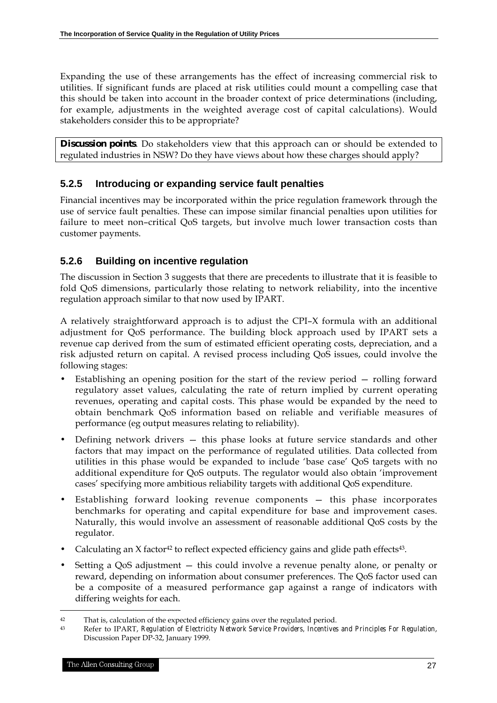Expanding the use of these arrangements has the effect of increasing commercial risk to utilities. If significant funds are placed at risk utilities could mount a compelling case that this should be taken into account in the broader context of price determinations (including, for example, adjustments in the weighted average cost of capital calculations). Would stakeholders consider this to be appropriate?

**Discussion points**. Do stakeholders view that this approach can or should be extended to regulated industries in NSW? Do they have views about how these charges should apply?

### **5.2.5 Introducing or expanding service fault penalties**

Financial incentives may be incorporated within the price regulation framework through the use of service fault penalties. These can impose similar financial penalties upon utilities for failure to meet non–critical QoS targets, but involve much lower transaction costs than customer payments.

### **5.2.6 Building on incentive regulation**

The discussion in Section 3 suggests that there are precedents to illustrate that it is feasible to fold QoS dimensions, particularly those relating to network reliability, into the incentive regulation approach similar to that now used by IPART.

A relatively straightforward approach is to adjust the CPI–X formula with an additional adjustment for QoS performance. The building block approach used by IPART sets a revenue cap derived from the sum of estimated efficient operating costs, depreciation, and a risk adjusted return on capital. A revised process including QoS issues, could involve the following stages:

- Establishing an opening position for the start of the review period rolling forward regulatory asset values, calculating the rate of return implied by current operating revenues, operating and capital costs. This phase would be expanded by the need to obtain benchmark QoS information based on reliable and verifiable measures of performance (eg output measures relating to reliability).
- Defining network drivers this phase looks at future service standards and other factors that may impact on the performance of regulated utilities. Data collected from utilities in this phase would be expanded to include 'base case' QoS targets with no additional expenditure for QoS outputs. The regulator would also obtain 'improvement cases' specifying more ambitious reliability targets with additional QoS expenditure.
- Establishing forward looking revenue components this phase incorporates benchmarks for operating and capital expenditure for base and improvement cases. Naturally, this would involve an assessment of reasonable additional QoS costs by the regulator.
- Calculating an  $X$  factor<sup>42</sup> to reflect expected efficiency gains and glide path effects<sup>43</sup>.
- Setting a QoS adjustment this could involve a revenue penalty alone, or penalty or reward, depending on information about consumer preferences. The QoS factor used can be a composite of a measured performance gap against a range of indicators with differing weights for each.

<sup>42</sup> That is, calculation of the expected efficiency gains over the regulated period.<br>
Refer to IPAPT *Pequlation of Electricity Network Service Providers Incentive* 

<sup>43</sup> Refer to IPART, *Regulation of Electricity Network Service Providers, Incentives and Principles For Regulation*, Discussion Paper DP-32, January 1999.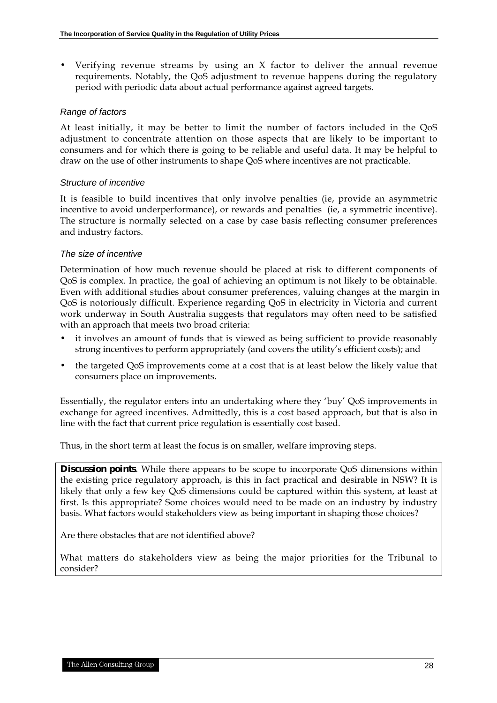• Verifying revenue streams by using an X factor to deliver the annual revenue requirements. Notably, the QoS adjustment to revenue happens during the regulatory period with periodic data about actual performance against agreed targets.

#### *Range of factors*

At least initially, it may be better to limit the number of factors included in the QoS adjustment to concentrate attention on those aspects that are likely to be important to consumers and for which there is going to be reliable and useful data. It may be helpful to draw on the use of other instruments to shape QoS where incentives are not practicable.

#### *Structure of incentive*

It is feasible to build incentives that only involve penalties (ie, provide an asymmetric incentive to avoid underperformance), or rewards and penalties (ie, a symmetric incentive). The structure is normally selected on a case by case basis reflecting consumer preferences and industry factors.

#### *The size of incentive*

Determination of how much revenue should be placed at risk to different components of QoS is complex. In practice, the goal of achieving an optimum is not likely to be obtainable. Even with additional studies about consumer preferences, valuing changes at the margin in QoS is notoriously difficult. Experience regarding QoS in electricity in Victoria and current work underway in South Australia suggests that regulators may often need to be satisfied with an approach that meets two broad criteria:

- it involves an amount of funds that is viewed as being sufficient to provide reasonably strong incentives to perform appropriately (and covers the utility's efficient costs); and
- the targeted QoS improvements come at a cost that is at least below the likely value that consumers place on improvements.

Essentially, the regulator enters into an undertaking where they 'buy' QoS improvements in exchange for agreed incentives. Admittedly, this is a cost based approach, but that is also in line with the fact that current price regulation is essentially cost based.

Thus, in the short term at least the focus is on smaller, welfare improving steps.

**Discussion points**. While there appears to be scope to incorporate QoS dimensions within the existing price regulatory approach, is this in fact practical and desirable in NSW? It is likely that only a few key QoS dimensions could be captured within this system, at least at first. Is this appropriate? Some choices would need to be made on an industry by industry basis. What factors would stakeholders view as being important in shaping those choices?

Are there obstacles that are not identified above?

What matters do stakeholders view as being the major priorities for the Tribunal to consider?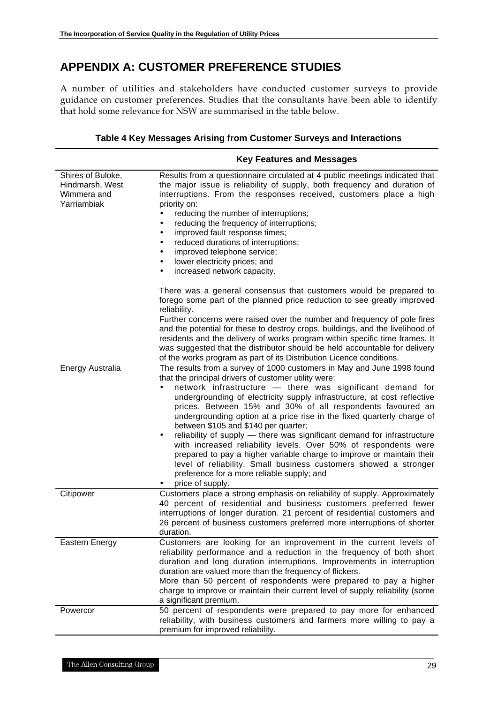# **APPENDIX A: CUSTOMER PREFERENCE STUDIES**

A number of utilities and stakeholders have conducted customer surveys to provide guidance on customer preferences. Studies that the consultants have been able to identify that hold some relevance for NSW are summarised in the table below.

|                                                                    | <b>Key Features and Messages</b>                                                                                                                                                                                                                                                                                                                                                                                                                                                                                                                                                                                                                                                                                                                                                                                                              |
|--------------------------------------------------------------------|-----------------------------------------------------------------------------------------------------------------------------------------------------------------------------------------------------------------------------------------------------------------------------------------------------------------------------------------------------------------------------------------------------------------------------------------------------------------------------------------------------------------------------------------------------------------------------------------------------------------------------------------------------------------------------------------------------------------------------------------------------------------------------------------------------------------------------------------------|
| Shires of Buloke,<br>Hindmarsh, West<br>Wimmera and<br>Yarriambiak | Results from a questionnaire circulated at 4 public meetings indicated that<br>the major issue is reliability of supply, both frequency and duration of<br>interruptions. From the responses received, customers place a high<br>priority on:<br>reducing the number of interruptions;<br>reducing the frequency of interruptions;<br>$\bullet$<br>improved fault response times;<br>٠<br>reduced durations of interruptions;<br>٠<br>improved telephone service;<br>٠<br>lower electricity prices; and<br>٠<br>increased network capacity.                                                                                                                                                                                                                                                                                                   |
|                                                                    | There was a general consensus that customers would be prepared to<br>forego some part of the planned price reduction to see greatly improved<br>reliability.<br>Further concerns were raised over the number and frequency of pole fires<br>and the potential for these to destroy crops, buildings, and the livelihood of<br>residents and the delivery of works program within specific time frames. It<br>was suggested that the distributor should be held accountable for delivery<br>of the works program as part of its Distribution Licence conditions.                                                                                                                                                                                                                                                                               |
| Energy Australia                                                   | The results from a survey of 1000 customers in May and June 1998 found<br>that the principal drivers of customer utility were:<br>network infrastructure - there was significant demand for<br>$\bullet$<br>undergrounding of electricity supply infrastructure, at cost reflective<br>prices. Between 15% and 30% of all respondents favoured an<br>undergrounding option at a price rise in the fixed quarterly charge of<br>between \$105 and \$140 per quarter;<br>reliability of supply - there was significant demand for infrastructure<br>$\bullet$<br>with increased reliability levels. Over 50% of respondents were<br>prepared to pay a higher variable charge to improve or maintain their<br>level of reliability. Small business customers showed a stronger<br>preference for a more reliable supply; and<br>price of supply. |
| Citipower                                                          | Customers place a strong emphasis on reliability of supply. Approximately<br>40 percent of residential and business customers preferred fewer<br>interruptions of longer duration. 21 percent of residential customers and<br>26 percent of business customers preferred more interruptions of shorter<br>duration.                                                                                                                                                                                                                                                                                                                                                                                                                                                                                                                           |
| Eastern Energy                                                     | Customers are looking for an improvement in the current levels of<br>reliability performance and a reduction in the frequency of both short<br>duration and long duration interruptions. Improvements in interruption<br>duration are valued more than the frequency of flickers.<br>More than 50 percent of respondents were prepared to pay a higher<br>charge to improve or maintain their current level of supply reliability (some<br>a significant premium.                                                                                                                                                                                                                                                                                                                                                                             |
| Powercor                                                           | 50 percent of respondents were prepared to pay more for enhanced<br>reliability, with business customers and farmers more willing to pay a<br>premium for improved reliability.                                                                                                                                                                                                                                                                                                                                                                                                                                                                                                                                                                                                                                                               |

#### **Table 4 Key Messages Arising from Customer Surveys and Interactions**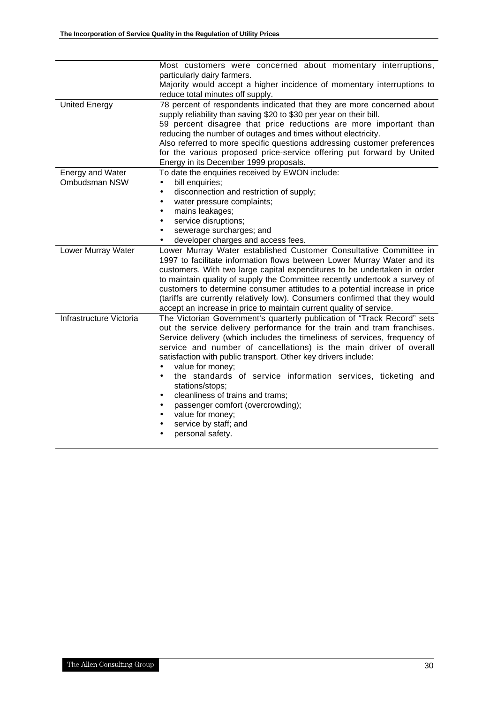|                         | Most customers were concerned about momentary interruptions,                |  |  |  |  |
|-------------------------|-----------------------------------------------------------------------------|--|--|--|--|
|                         | particularly dairy farmers.                                                 |  |  |  |  |
|                         | Majority would accept a higher incidence of momentary interruptions to      |  |  |  |  |
|                         | reduce total minutes off supply.                                            |  |  |  |  |
| <b>United Energy</b>    | 78 percent of respondents indicated that they are more concerned about      |  |  |  |  |
|                         | supply reliability than saving \$20 to \$30 per year on their bill.         |  |  |  |  |
|                         | 59 percent disagree that price reductions are more important than           |  |  |  |  |
|                         | reducing the number of outages and times without electricity.               |  |  |  |  |
|                         | Also referred to more specific questions addressing customer preferences    |  |  |  |  |
|                         | for the various proposed price-service offering put forward by United       |  |  |  |  |
|                         | Energy in its December 1999 proposals.                                      |  |  |  |  |
| <b>Energy and Water</b> | To date the enquiries received by EWON include:                             |  |  |  |  |
| Ombudsman NSW           | bill enquiries;                                                             |  |  |  |  |
|                         | disconnection and restriction of supply;<br>$\bullet$                       |  |  |  |  |
|                         | water pressure complaints;<br>$\bullet$                                     |  |  |  |  |
|                         | mains leakages;<br>٠                                                        |  |  |  |  |
|                         | service disruptions;<br>$\bullet$                                           |  |  |  |  |
|                         | sewerage surcharges; and                                                    |  |  |  |  |
|                         | developer charges and access fees.                                          |  |  |  |  |
| Lower Murray Water      | Lower Murray Water established Customer Consultative Committee in           |  |  |  |  |
|                         | 1997 to facilitate information flows between Lower Murray Water and its     |  |  |  |  |
|                         | customers. With two large capital expenditures to be undertaken in order    |  |  |  |  |
|                         | to maintain quality of supply the Committee recently undertook a survey of  |  |  |  |  |
|                         | customers to determine consumer attitudes to a potential increase in price  |  |  |  |  |
|                         | (tariffs are currently relatively low). Consumers confirmed that they would |  |  |  |  |
|                         | accept an increase in price to maintain current quality of service.         |  |  |  |  |
| Infrastructure Victoria | The Victorian Government's quarterly publication of "Track Record" sets     |  |  |  |  |
|                         | out the service delivery performance for the train and tram franchises.     |  |  |  |  |
|                         | Service delivery (which includes the timeliness of services, frequency of   |  |  |  |  |
|                         | service and number of cancellations) is the main driver of overall          |  |  |  |  |
|                         | satisfaction with public transport. Other key drivers include:              |  |  |  |  |
|                         | value for money;                                                            |  |  |  |  |
|                         | the standards of service information services, ticketing and<br>$\bullet$   |  |  |  |  |
|                         | stations/stops;                                                             |  |  |  |  |
|                         | cleanliness of trains and trams;                                            |  |  |  |  |
|                         | passenger comfort (overcrowding);                                           |  |  |  |  |
|                         | value for money;                                                            |  |  |  |  |
|                         | service by staff; and                                                       |  |  |  |  |
|                         | personal safety.<br>$\bullet$                                               |  |  |  |  |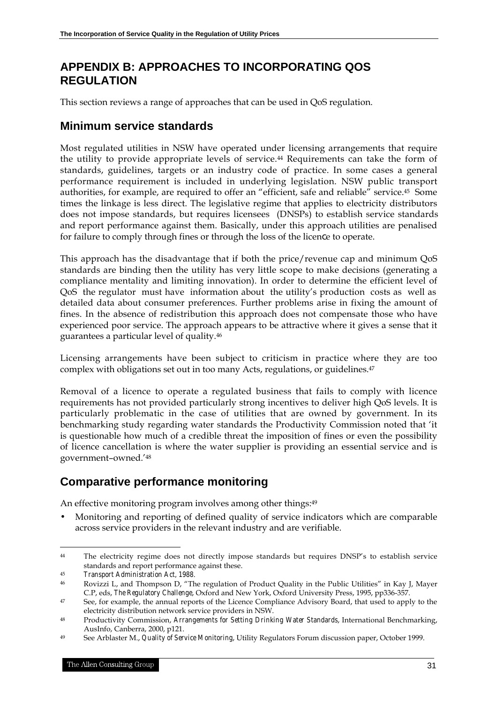# **APPENDIX B: APPROACHES TO INCORPORATING QOS REGULATION**

This section reviews a range of approaches that can be used in QoS regulation.

### **Minimum service standards**

Most regulated utilities in NSW have operated under licensing arrangements that require the utility to provide appropriate levels of service.44 Requirements can take the form of standards, guidelines, targets or an industry code of practice. In some cases a general performance requirement is included in underlying legislation. NSW public transport authorities, for example, are required to offer an "efficient, safe and reliable" service.45 Some times the linkage is less direct. The legislative regime that applies to electricity distributors does not impose standards, but requires licensees (DNSPs) to establish service standards and report performance against them. Basically, under this approach utilities are penalised for failure to comply through fines or through the loss of the licence to operate.

This approach has the disadvantage that if both the price/revenue cap and minimum QoS standards are binding then the utility has very little scope to make decisions (generating a compliance mentality and limiting innovation). In order to determine the efficient level of QoS the regulator must have information about the utility's production costs as well as detailed data about consumer preferences. Further problems arise in fixing the amount of fines. In the absence of redistribution this approach does not compensate those who have experienced poor service. The approach appears to be attractive where it gives a sense that it guarantees a particular level of quality.46

Licensing arrangements have been subject to criticism in practice where they are too complex with obligations set out in too many Acts, regulations, or guidelines.<sup>47</sup>

Removal of a licence to operate a regulated business that fails to comply with licence requirements has not provided particularly strong incentives to deliver high QoS levels. It is particularly problematic in the case of utilities that are owned by government. In its benchmarking study regarding water standards the Productivity Commission noted that 'it is questionable how much of a credible threat the imposition of fines or even the possibility of licence cancellation is where the water supplier is providing an essential service and is government–owned.'48

# **Comparative performance monitoring**

An effective monitoring program involves among other things:49

• Monitoring and reporting of defined quality of service indicators which are comparable across service providers in the relevant industry and are verifiable.

<sup>44</sup> The electricity regime does not directly impose standards but requires DNSP's to establish service standards and report performance against these.

<sup>45</sup> *Transport Administration Act, 1988*.

<sup>46</sup> Rovizzi L, and Thompson D, "The regulation of Product Quality in the Public Utilities" in Kay J, Mayer C.P, eds, *The Regulatory Challenge*, Oxford and New York, Oxford University Press, 1995, pp336-357.

<sup>&</sup>lt;sup>47</sup> See, for example, the annual reports of the Licence Compliance Advisory Board, that used to apply to the electricity distribution network service providers in NSW.

<sup>48</sup> Productivity Commission, *Arrangements for Setting Drinking Water Standards*, International Benchmarking, AusInfo, Canberra, 2000, p121.

<sup>49</sup> See Arblaster M., *Quality of Service Monitoring*, Utility Regulators Forum discussion paper, October 1999.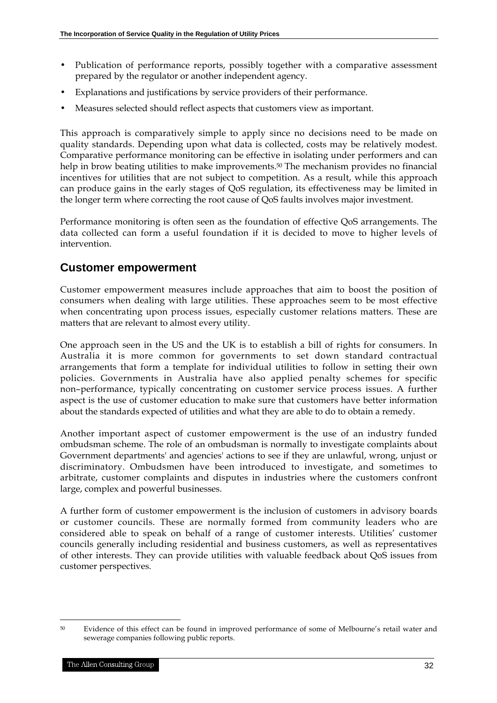- Publication of performance reports, possibly together with a comparative assessment prepared by the regulator or another independent agency.
- Explanations and justifications by service providers of their performance.
- Measures selected should reflect aspects that customers view as important.

This approach is comparatively simple to apply since no decisions need to be made on quality standards. Depending upon what data is collected, costs may be relatively modest. Comparative performance monitoring can be effective in isolating under performers and can help in brow beating utilities to make improvements.<sup>50</sup> The mechanism provides no financial incentives for utilities that are not subject to competition. As a result, while this approach can produce gains in the early stages of QoS regulation, its effectiveness may be limited in the longer term where correcting the root cause of QoS faults involves major investment.

Performance monitoring is often seen as the foundation of effective QoS arrangements. The data collected can form a useful foundation if it is decided to move to higher levels of intervention.

### **Customer empowerment**

Customer empowerment measures include approaches that aim to boost the position of consumers when dealing with large utilities. These approaches seem to be most effective when concentrating upon process issues, especially customer relations matters. These are matters that are relevant to almost every utility.

One approach seen in the US and the UK is to establish a bill of rights for consumers. In Australia it is more common for governments to set down standard contractual arrangements that form a template for individual utilities to follow in setting their own policies. Governments in Australia have also applied penalty schemes for specific non–performance, typically concentrating on customer service process issues. A further aspect is the use of customer education to make sure that customers have better information about the standards expected of utilities and what they are able to do to obtain a remedy.

Another important aspect of customer empowerment is the use of an industry funded ombudsman scheme. The role of an ombudsman is normally to investigate complaints about Government departments' and agencies' actions to see if they are unlawful, wrong, unjust or discriminatory. Ombudsmen have been introduced to investigate, and sometimes to arbitrate, customer complaints and disputes in industries where the customers confront large, complex and powerful businesses.

A further form of customer empowerment is the inclusion of customers in advisory boards or customer councils. These are normally formed from community leaders who are considered able to speak on behalf of a range of customer interests. Utilities' customer councils generally including residential and business customers, as well as representatives of other interests. They can provide utilities with valuable feedback about QoS issues from customer perspectives.

<sup>1</sup> 50 Evidence of this effect can be found in improved performance of some of Melbourne's retail water and sewerage companies following public reports.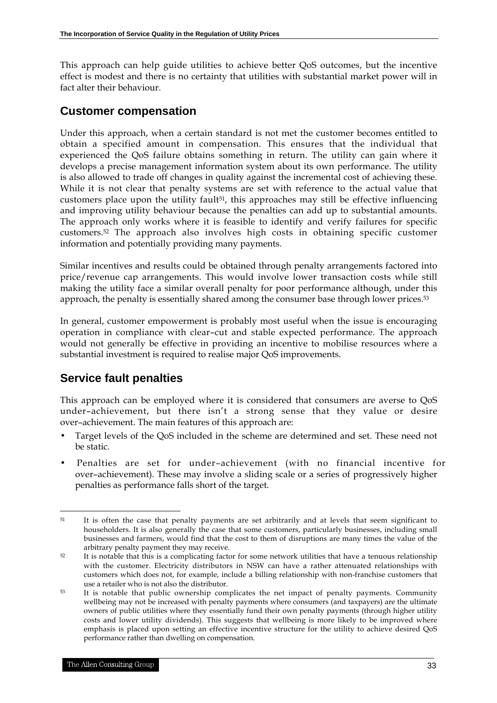This approach can help guide utilities to achieve better QoS outcomes, but the incentive effect is modest and there is no certainty that utilities with substantial market power will in fact alter their behaviour.

### **Customer compensation**

Under this approach, when a certain standard is not met the customer becomes entitled to obtain a specified amount in compensation. This ensures that the individual that experienced the QoS failure obtains something in return. The utility can gain where it develops a precise management information system about its own performance. The utility is also allowed to trade off changes in quality against the incremental cost of achieving these. While it is not clear that penalty systems are set with reference to the actual value that customers place upon the utility fault<sup>51</sup>, this approaches may still be effective influencing and improving utility behaviour because the penalties can add up to substantial amounts. The approach only works where it is feasible to identify and verify failures for specific customers.52 The approach also involves high costs in obtaining specific customer information and potentially providing many payments.

Similar incentives and results could be obtained through penalty arrangements factored into price/revenue cap arrangements. This would involve lower transaction costs while still making the utility face a similar overall penalty for poor performance although, under this approach, the penalty is essentially shared among the consumer base through lower prices.<sup>53</sup>

In general, customer empowerment is probably most useful when the issue is encouraging operation in compliance with clear–cut and stable expected performance. The approach would not generally be effective in providing an incentive to mobilise resources where a substantial investment is required to realise major QoS improvements.

# **Service fault penalties**

This approach can be employed where it is considered that consumers are averse to QoS under–achievement, but there isn't a strong sense that they value or desire over–achievement. The main features of this approach are:

- Target levels of the QoS included in the scheme are determined and set. These need not be static.
- Penalties are set for under–achievement (with no financial incentive for over–achievement). These may involve a sliding scale or a series of progressively higher penalties as performance falls short of the target.

 $\overline{a}$ <sup>51</sup> It is often the case that penalty payments are set arbitrarily and at levels that seem significant to householders. It is also generally the case that some customers, particularly businesses, including small businesses and farmers, would find that the cost to them of disruptions are many times the value of the arbitrary penalty payment they may receive.

<sup>52</sup> It is notable that this is a complicating factor for some network utilities that have a tenuous relationship with the customer. Electricity distributors in NSW can have a rather attenuated relationships with customers which does not, for example, include a billing relationship with non-franchise customers that use a retailer who is not also the distributor.

<sup>&</sup>lt;sup>53</sup> It is notable that public ownership complicates the net impact of penalty payments. Community wellbeing may not be increased with penalty payments where consumers (and taxpayers) are the ultimate owners of public utilities where they essentially fund their own penalty payments (through higher utility costs and lower utility dividends). This suggests that wellbeing is more likely to be improved where emphasis is placed upon setting an effective incentive structure for the utility to achieve desired QoS performance rather than dwelling on compensation.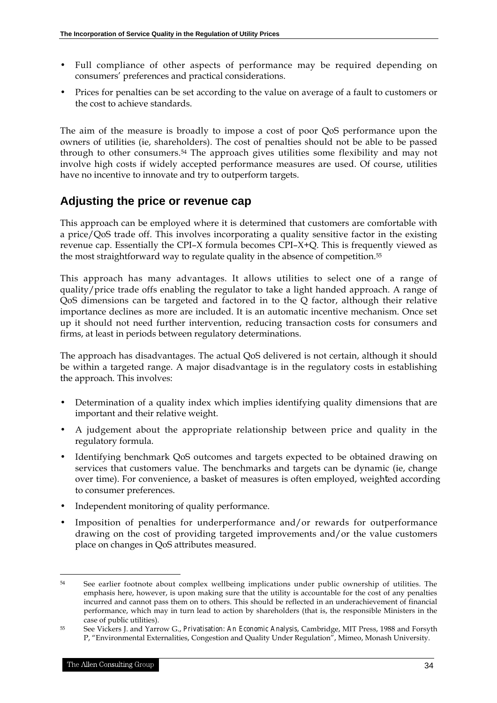- Full compliance of other aspects of performance may be required depending on consumers' preferences and practical considerations.
- Prices for penalties can be set according to the value on average of a fault to customers or the cost to achieve standards.

The aim of the measure is broadly to impose a cost of poor QoS performance upon the owners of utilities (ie, shareholders). The cost of penalties should not be able to be passed through to other consumers.54 The approach gives utilities some flexibility and may not involve high costs if widely accepted performance measures are used. Of course, utilities have no incentive to innovate and try to outperform targets.

# **Adjusting the price or revenue cap**

This approach can be employed where it is determined that customers are comfortable with a price/QoS trade off. This involves incorporating a quality sensitive factor in the existing revenue cap. Essentially the CPI–X formula becomes CPI–X+Q. This is frequently viewed as the most straightforward way to regulate quality in the absence of competition.55

This approach has many advantages. It allows utilities to select one of a range of quality/price trade offs enabling the regulator to take a light handed approach. A range of QoS dimensions can be targeted and factored in to the Q factor, although their relative importance declines as more are included. It is an automatic incentive mechanism. Once set up it should not need further intervention, reducing transaction costs for consumers and firms, at least in periods between regulatory determinations.

The approach has disadvantages. The actual QoS delivered is not certain, although it should be within a targeted range. A major disadvantage is in the regulatory costs in establishing the approach. This involves:

- Determination of a quality index which implies identifying quality dimensions that are important and their relative weight.
- A judgement about the appropriate relationship between price and quality in the regulatory formula.
- Identifying benchmark QoS outcomes and targets expected to be obtained drawing on services that customers value. The benchmarks and targets can be dynamic (ie, change over time). For convenience, a basket of measures is often employed, weighted according to consumer preferences.
- Independent monitoring of quality performance.
- Imposition of penalties for underperformance and/or rewards for outperformance drawing on the cost of providing targeted improvements and/or the value customers place on changes in QoS attributes measured.

<sup>54</sup> See earlier footnote about complex wellbeing implications under public ownership of utilities. The emphasis here, however, is upon making sure that the utility is accountable for the cost of any penalties incurred and cannot pass them on to others. This should be reflected in an underachievement of financial performance, which may in turn lead to action by shareholders (that is, the responsible Ministers in the case of public utilities).

<sup>55</sup> See Vickers J. and Yarrow G., *Privatisation: An Economic Analysis*, Cambridge, MIT Press, 1988 and Forsyth P, "Environmental Externalities, Congestion and Quality Under Regulation", Mimeo, Monash University.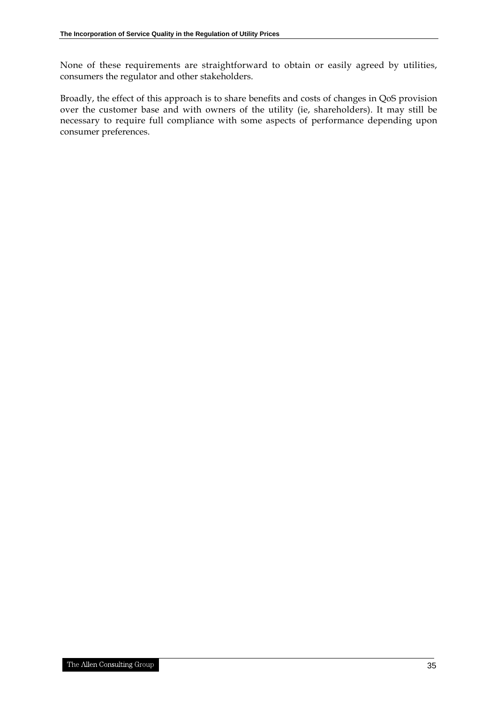None of these requirements are straightforward to obtain or easily agreed by utilities, consumers the regulator and other stakeholders.

Broadly, the effect of this approach is to share benefits and costs of changes in QoS provision over the customer base and with owners of the utility (ie, shareholders). It may still be necessary to require full compliance with some aspects of performance depending upon consumer preferences.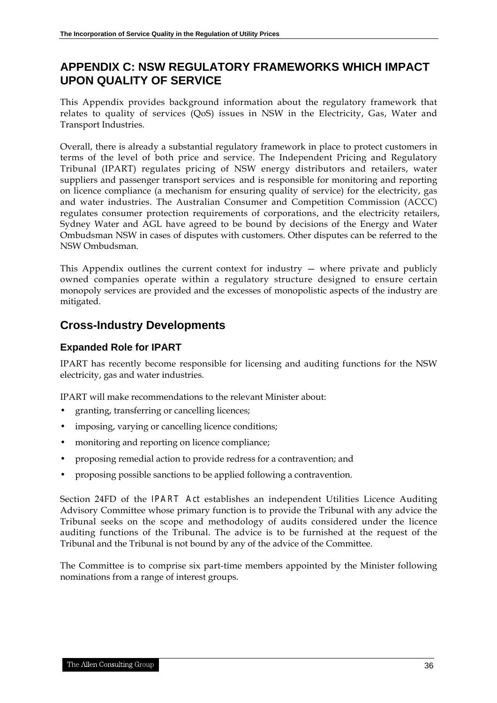# **APPENDIX C: NSW REGULATORY FRAMEWORKS WHICH IMPACT UPON QUALITY OF SERVICE**

This Appendix provides background information about the regulatory framework that relates to quality of services (QoS) issues in NSW in the Electricity, Gas, Water and Transport Industries.

Overall, there is already a substantial regulatory framework in place to protect customers in terms of the level of both price and service. The Independent Pricing and Regulatory Tribunal (IPART) regulates pricing of NSW energy distributors and retailers, water suppliers and passenger transport services and is responsible for monitoring and reporting on licence compliance (a mechanism for ensuring quality of service) for the electricity, gas and water industries. The Australian Consumer and Competition Commission (ACCC) regulates consumer protection requirements of corporations, and the electricity retailers, Sydney Water and AGL have agreed to be bound by decisions of the Energy and Water Ombudsman NSW in cases of disputes with customers. Other disputes can be referred to the NSW Ombudsman.

This Appendix outlines the current context for industry  $-$  where private and publicly owned companies operate within a regulatory structure designed to ensure certain monopoly services are provided and the excesses of monopolistic aspects of the industry are mitigated.

# **Cross-Industry Developments**

### **Expanded Role for IPART**

IPART has recently become responsible for licensing and auditing functions for the NSW electricity, gas and water industries.

IPART will make recommendations to the relevant Minister about:

- granting, transferring or cancelling licences;
- imposing, varying or cancelling licence conditions;
- monitoring and reporting on licence compliance;
- proposing remedial action to provide redress for a contravention; and
- proposing possible sanctions to be applied following a contravention.

Section 24FD of the *IPART Act* establishes an independent Utilities Licence Auditing Advisory Committee whose primary function is to provide the Tribunal with any advice the Tribunal seeks on the scope and methodology of audits considered under the licence auditing functions of the Tribunal. The advice is to be furnished at the request of the Tribunal and the Tribunal is not bound by any of the advice of the Committee.

The Committee is to comprise six part-time members appointed by the Minister following nominations from a range of interest groups.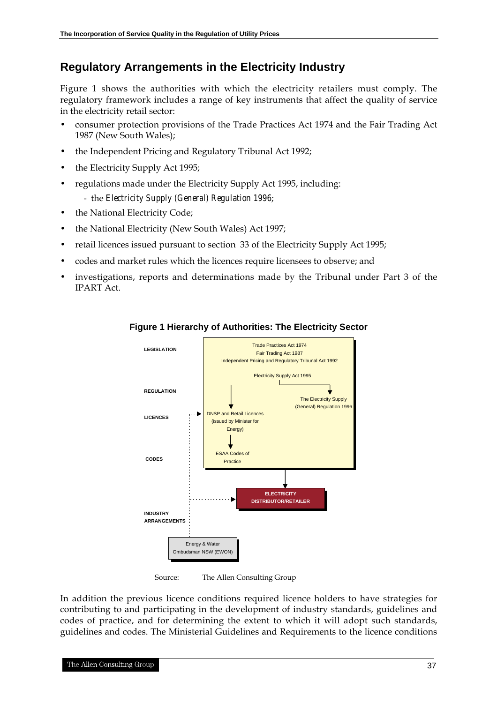## **Regulatory Arrangements in the Electricity Industry**

Figure 1 shows the authorities with which the electricity retailers must comply. The regulatory framework includes a range of key instruments that affect the quality of service in the electricity retail sector:

- consumer protection provisions of the Trade Practices Act 1974 and the Fair Trading Act 1987 (New South Wales);
- the Independent Pricing and Regulatory Tribunal Act 1992;
- the Electricity Supply Act 1995;
- regulations made under the Electricity Supply Act 1995, including:
	- the *Electricity Supply (General) Regulation 1996*;
- the National Electricity Code;
- the National Electricity (New South Wales) Act 1997;
- retail licences issued pursuant to section 33 of the Electricity Supply Act 1995;
- codes and market rules which the licences require licensees to observe; and
- investigations, reports and determinations made by the Tribunal under Part 3 of the IPART Act.

![](_page_40_Figure_13.jpeg)

#### **Figure 1 Hierarchy of Authorities: The Electricity Sector**

Source: The Allen Consulting Group

In addition the previous licence conditions required licence holders to have strategies for contributing to and participating in the development of industry standards, guidelines and codes of practice, and for determining the extent to which it will adopt such standards, guidelines and codes. The Ministerial Guidelines and Requirements to the licence conditions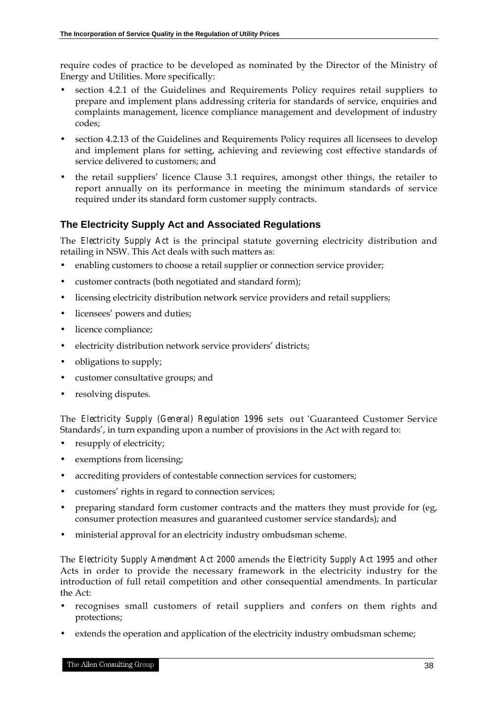require codes of practice to be developed as nominated by the Director of the Ministry of Energy and Utilities. More specifically:

- section 4.2.1 of the Guidelines and Requirements Policy requires retail suppliers to prepare and implement plans addressing criteria for standards of service, enquiries and complaints management, licence compliance management and development of industry codes;
- section 4.2.13 of the Guidelines and Requirements Policy requires all licensees to develop and implement plans for setting, achieving and reviewing cost effective standards of service delivered to customers; and
- the retail suppliers' licence Clause 3.1 requires, amongst other things, the retailer to report annually on its performance in meeting the minimum standards of service required under its standard form customer supply contracts.

### **The Electricity Supply Act and Associated Regulations**

The *Electricity Supply Act* is the principal statute governing electricity distribution and retailing in NSW. This Act deals with such matters as:

- enabling customers to choose a retail supplier or connection service provider;
- customer contracts (both negotiated and standard form);
- licensing electricity distribution network service providers and retail suppliers;
- licensees' powers and duties;
- licence compliance;
- electricity distribution network service providers' districts;
- obligations to supply;
- customer consultative groups; and
- resolving disputes.

The *Electricity Supply (General) Regulation 1996* sets out *'*Guaranteed Customer Service Standards', in turn expanding upon a number of provisions in the Act with regard to:

- resupply of electricity;
- exemptions from licensing;
- accrediting providers of contestable connection services for customers;
- customers' rights in regard to connection services;
- preparing standard form customer contracts and the matters they must provide for (eg, consumer protection measures and guaranteed customer service standards); and
- ministerial approval for an electricity industry ombudsman scheme.

The *Electricity Supply Amendment Act 2000* amends the *Electricity Supply Act 1995* and other Acts in order to provide the necessary framework in the electricity industry for the introduction of full retail competition and other consequential amendments. In particular the Act:

- recognises small customers of retail suppliers and confers on them rights and protections;
- extends the operation and application of the electricity industry ombudsman scheme;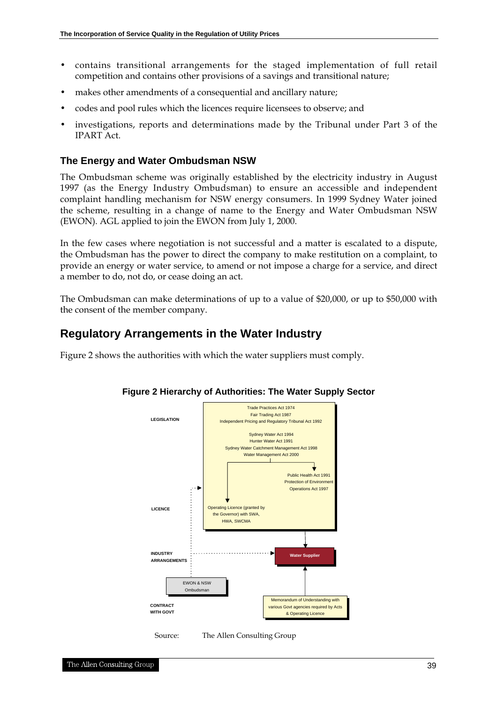- contains transitional arrangements for the staged implementation of full retail competition and contains other provisions of a savings and transitional nature;
- makes other amendments of a consequential and ancillary nature;
- codes and pool rules which the licences require licensees to observe; and
- investigations, reports and determinations made by the Tribunal under Part 3 of the IPART Act.

#### **The Energy and Water Ombudsman NSW**

The Ombudsman scheme was originally established by the electricity industry in August 1997 (as the Energy Industry Ombudsman) to ensure an accessible and independent complaint handling mechanism for NSW energy consumers. In 1999 Sydney Water joined the scheme, resulting in a change of name to the Energy and Water Ombudsman NSW (EWON). AGL applied to join the EWON from July 1, 2000.

In the few cases where negotiation is not successful and a matter is escalated to a dispute, the Ombudsman has the power to direct the company to make restitution on a complaint, to provide an energy or water service, to amend or not impose a charge for a service, and direct a member to do, not do, or cease doing an act.

The Ombudsman can make determinations of up to a value of \$20,000, or up to \$50,000 with the consent of the member company.

### **Regulatory Arrangements in the Water Industry**

Figure 2 shows the authorities with which the water suppliers must comply.

![](_page_42_Figure_11.jpeg)

#### **Figure 2 Hierarchy of Authorities: The Water Supply Sector**

Source: The Allen Consulting Group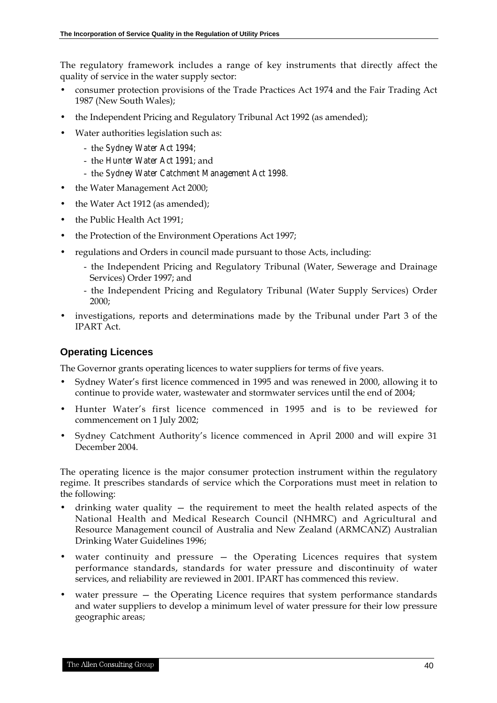The regulatory framework includes a range of key instruments that directly affect the quality of service in the water supply sector:

- consumer protection provisions of the Trade Practices Act 1974 and the Fair Trading Act 1987 (New South Wales);
- the Independent Pricing and Regulatory Tribunal Act 1992 (as amended);
- Water authorities legislation such as:
	- the *Sydney Water Act 1994;*
	- the *Hunter Water Act 1991*; and
	- the *Sydney Water Catchment Management Act 1998.*
- the Water Management Act 2000;
- the Water Act 1912 (as amended);
- the Public Health Act 1991;
- the Protection of the Environment Operations Act 1997;
- regulations and Orders in council made pursuant to those Acts, including:
	- the Independent Pricing and Regulatory Tribunal (Water, Sewerage and Drainage Services) Order 1997; and
	- the Independent Pricing and Regulatory Tribunal (Water Supply Services) Order 2000;
- investigations, reports and determinations made by the Tribunal under Part 3 of the IPART Act.

#### **Operating Licences**

The Governor grants operating licences to water suppliers for terms of five years.

- Sydney Water's first licence commenced in 1995 and was renewed in 2000, allowing it to continue to provide water, wastewater and stormwater services until the end of 2004;
- Hunter Water's first licence commenced in 1995 and is to be reviewed for commencement on 1 July 2002;
- Sydney Catchment Authority's licence commenced in April 2000 and will expire 31 December 2004.

The operating licence is the major consumer protection instrument within the regulatory regime. It prescribes standards of service which the Corporations must meet in relation to the following:

- drinking water quality  $-$  the requirement to meet the health related aspects of the National Health and Medical Research Council (NHMRC) and Agricultural and Resource Management council of Australia and New Zealand (ARMCANZ) Australian Drinking Water Guidelines 1996;
- water continuity and pressure the Operating Licences requires that system performance standards, standards for water pressure and discontinuity of water services, and reliability are reviewed in 2001. IPART has commenced this review.
- water pressure the Operating Licence requires that system performance standards and water suppliers to develop a minimum level of water pressure for their low pressure geographic areas;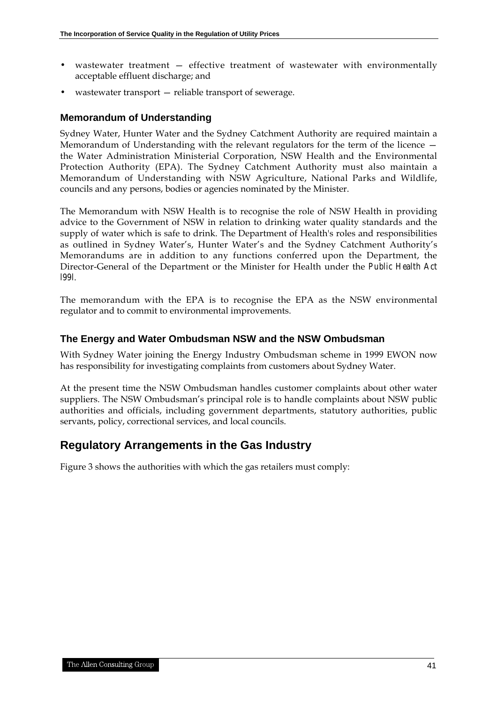- wastewater treatment effective treatment of wastewater with environmentally acceptable effluent discharge; and
- wastewater transport reliable transport of sewerage.

#### **Memorandum of Understanding**

Sydney Water, Hunter Water and the Sydney Catchment Authority are required maintain a Memorandum of Understanding with the relevant regulators for the term of the licence the Water Administration Ministerial Corporation, NSW Health and the Environmental Protection Authority (EPA). The Sydney Catchment Authority must also maintain a Memorandum of Understanding with NSW Agriculture, National Parks and Wildlife, councils and any persons, bodies or agencies nominated by the Minister.

The Memorandum with NSW Health is to recognise the role of NSW Health in providing advice to the Government of NSW in relation to drinking water quality standards and the supply of water which is safe to drink. The Department of Health's roles and responsibilities as outlined in Sydney Water's, Hunter Water's and the Sydney Catchment Authority's Memorandums are in addition to any functions conferred upon the Department, the Director-General of the Department or the Minister for Health under the *Public Health Act l99l*.

The memorandum with the EPA is to recognise the EPA as the NSW environmental regulator and to commit to environmental improvements.

#### **The Energy and Water Ombudsman NSW and the NSW Ombudsman**

With Sydney Water joining the Energy Industry Ombudsman scheme in 1999 EWON now has responsibility for investigating complaints from customers about Sydney Water.

At the present time the NSW Ombudsman handles customer complaints about other water suppliers. The NSW Ombudsman's principal role is to handle complaints about NSW public authorities and officials, including government departments, statutory authorities, public servants, policy, correctional services, and local councils.

# **Regulatory Arrangements in the Gas Industry**

Figure 3 shows the authorities with which the gas retailers must comply: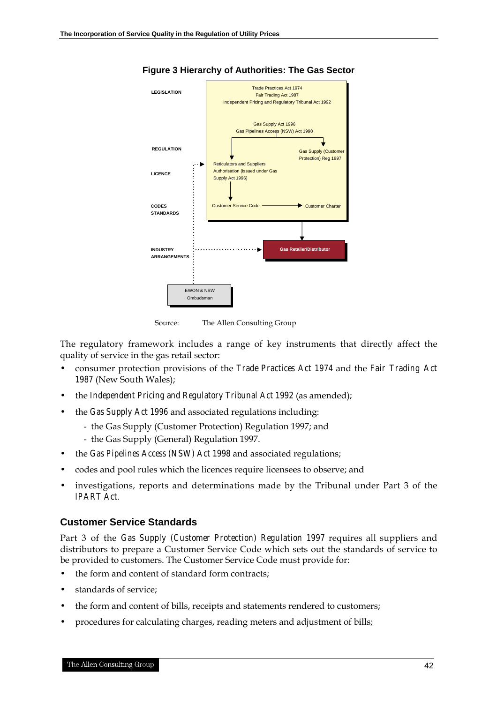![](_page_45_Figure_1.jpeg)

**Figure 3 Hierarchy of Authorities: The Gas Sector**

Source: The Allen Consulting Group

The regulatory framework includes a range of key instruments that directly affect the quality of service in the gas retail sector:

- consumer protection provisions of the *Trade Practices Act 1974* and the *Fair Trading Act 1987* (New South Wales);
- the *Independent Pricing and Regulatory Tribunal Act 1992* (as amended);
- the *Gas Supply Act 1996* and associated regulations including:
	- the Gas Supply (Customer Protection) Regulation 1997; and
	- the Gas Supply (General) Regulation 1997.
- the *Gas Pipelines Access (NSW) Act 1998* and associated regulations;
- codes and pool rules which the licences require licensees to observe; and
- investigations, reports and determinations made by the Tribunal under Part 3 of the *IPART Act*.

#### **Customer Service Standards**

Part 3 of the *Gas Supply (Customer Protection) Regulation 1997* requires all suppliers and distributors to prepare a Customer Service Code which sets out the standards of service to be provided to customers. The Customer Service Code must provide for:

- the form and content of standard form contracts;
- standards of service:
- the form and content of bills, receipts and statements rendered to customers;
- procedures for calculating charges, reading meters and adjustment of bills;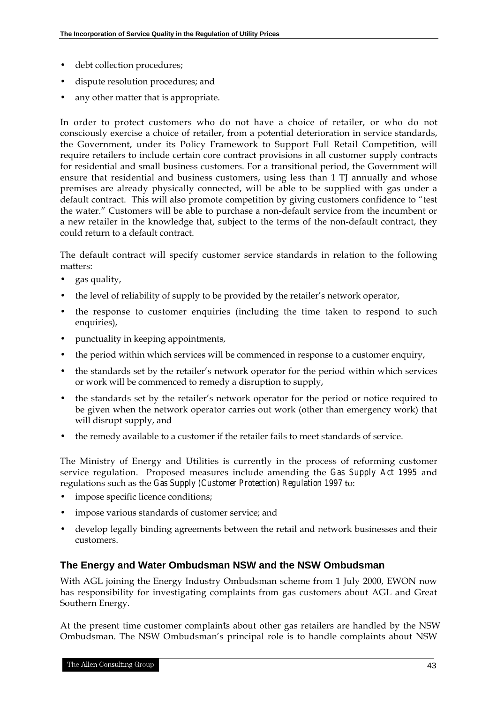- debt collection procedures;
- dispute resolution procedures; and
- any other matter that is appropriate.

In order to protect customers who do not have a choice of retailer, or who do not consciously exercise a choice of retailer, from a potential deterioration in service standards, the Government, under its Policy Framework to Support Full Retail Competition, will require retailers to include certain core contract provisions in all customer supply contracts for residential and small business customers. For a transitional period, the Government will ensure that residential and business customers, using less than 1 TJ annually and whose premises are already physically connected, will be able to be supplied with gas under a default contract. This will also promote competition by giving customers confidence to "test the water." Customers will be able to purchase a non-default service from the incumbent or a new retailer in the knowledge that, subject to the terms of the non-default contract, they could return to a default contract.

The default contract will specify customer service standards in relation to the following matters:

- gas quality,
- the level of reliability of supply to be provided by the retailer's network operator,
- the response to customer enquiries (including the time taken to respond to such enquiries),
- punctuality in keeping appointments,
- the period within which services will be commenced in response to a customer enquiry,
- the standards set by the retailer's network operator for the period within which services or work will be commenced to remedy a disruption to supply,
- the standards set by the retailer's network operator for the period or notice required to be given when the network operator carries out work (other than emergency work) that will disrupt supply, and
- the remedy available to a customer if the retailer fails to meet standards of service.

The Ministry of Energy and Utilities is currently in the process of reforming customer service regulation. Proposed measures include amending the *Gas Supply Act 1995* and regulations such as the *Gas Supply (Customer Protection) Regulation 1997* to:

- impose specific licence conditions;
- impose various standards of customer service; and
- develop legally binding agreements between the retail and network businesses and their customers.

#### **The Energy and Water Ombudsman NSW and the NSW Ombudsman**

With AGL joining the Energy Industry Ombudsman scheme from 1 July 2000, EWON now has responsibility for investigating complaints from gas customers about AGL and Great Southern Energy.

At the present time customer complaints about other gas retailers are handled by the NSW Ombudsman. The NSW Ombudsman's principal role is to handle complaints about NSW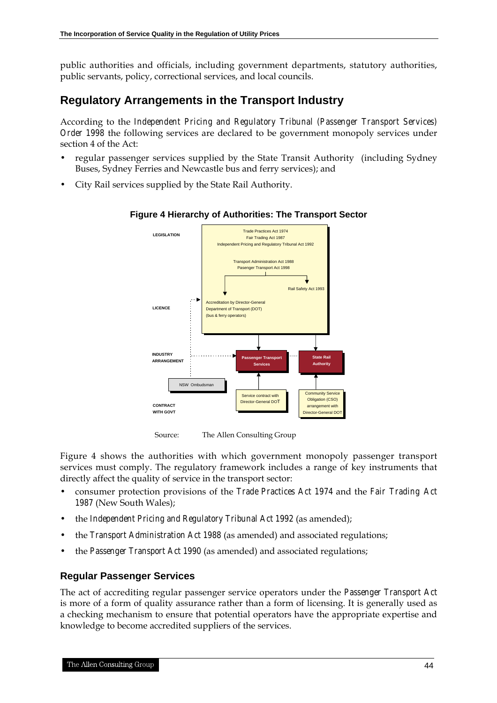public authorities and officials, including government departments, statutory authorities, public servants, policy, correctional services, and local councils.

### **Regulatory Arrangements in the Transport Industry**

According to the *Independent Pricing and Regulatory Tribunal (Passenger Transport Services) Order 1998* the following services are declared to be government monopoly services under section 4 of the Act:

- regular passenger services supplied by the State Transit Authority (including Sydney Buses, Sydney Ferries and Newcastle bus and ferry services); and
- City Rail services supplied by the State Rail Authority.

![](_page_47_Figure_6.jpeg)

#### **Figure 4 Hierarchy of Authorities: The Transport Sector**

Source: The Allen Consulting Group

Figure 4 shows the authorities with which government monopoly passenger transport services must comply. The regulatory framework includes a range of key instruments that directly affect the quality of service in the transport sector:

- consumer protection provisions of the *Trade Practices Act 1974* and the *Fair Trading Act 1987* (New South Wales);
- the *Independent Pricing and Regulatory Tribunal Act 1992* (as amended);
- the *Transport Administration Act 1988* (as amended) and associated regulations;
- the *Passenger Transport Act 1990* (as amended) and associated regulations;

#### **Regular Passenger Services**

The act of accrediting regular passenger service operators under the *Passenger Transport Act* is more of a form of quality assurance rather than a form of licensing. It is generally used as a checking mechanism to ensure that potential operators have the appropriate expertise and knowledge to become accredited suppliers of the services.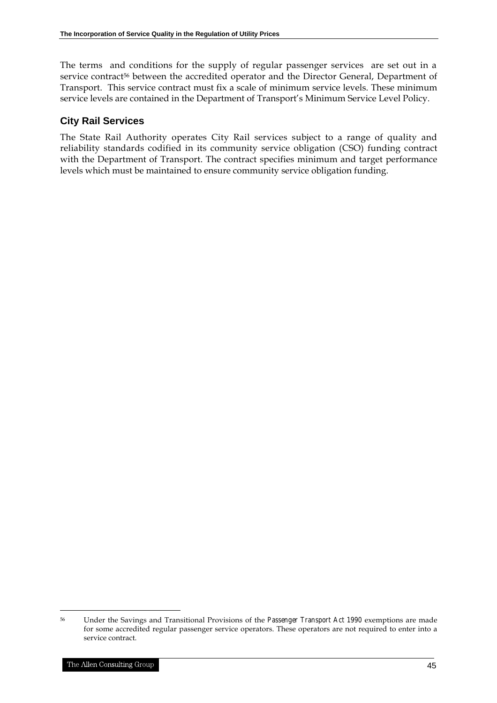The terms and conditions for the supply of regular passenger services are set out in a service contract<sup>56</sup> between the accredited operator and the Director General, Department of Transport. This service contract must fix a scale of minimum service levels. These minimum service levels are contained in the Department of Transport's Minimum Service Level Policy.

#### **City Rail Services**

The State Rail Authority operates City Rail services subject to a range of quality and reliability standards codified in its community service obligation (CSO) funding contract with the Department of Transport. The contract specifies minimum and target performance levels which must be maintained to ensure community service obligation funding.

<sup>56</sup> Under the Savings and Transitional Provisions of the *Passenger Transport Act 1990* exemptions are made for some accredited regular passenger service operators. These operators are not required to enter into a service contract.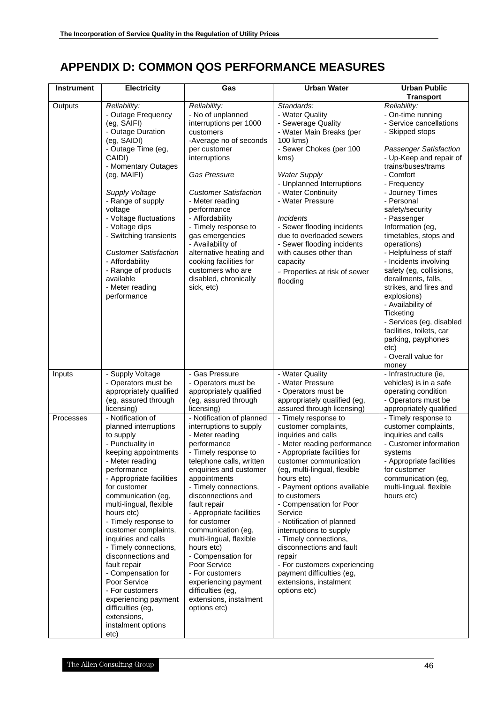# **APPENDIX D: COMMON QOS PERFORMANCE MEASURES**

| <b>Instrument</b> | <b>Electricity</b>                                                                                                                                                                                                                                                                                                                                                                                                                                                                                                                        | Gas                                                                                                                                                                                                                                                                                                                                                                                                                                                                                                            | <b>Urban Water</b>                                                                                                                                                                                                                                                                                                                                                                                                                                                                                                            | <b>Urban Public</b><br><b>Transport</b>                                                                                                                                                                                                                                                                                                                                                                                                                                                                                                                                                                                            |
|-------------------|-------------------------------------------------------------------------------------------------------------------------------------------------------------------------------------------------------------------------------------------------------------------------------------------------------------------------------------------------------------------------------------------------------------------------------------------------------------------------------------------------------------------------------------------|----------------------------------------------------------------------------------------------------------------------------------------------------------------------------------------------------------------------------------------------------------------------------------------------------------------------------------------------------------------------------------------------------------------------------------------------------------------------------------------------------------------|-------------------------------------------------------------------------------------------------------------------------------------------------------------------------------------------------------------------------------------------------------------------------------------------------------------------------------------------------------------------------------------------------------------------------------------------------------------------------------------------------------------------------------|------------------------------------------------------------------------------------------------------------------------------------------------------------------------------------------------------------------------------------------------------------------------------------------------------------------------------------------------------------------------------------------------------------------------------------------------------------------------------------------------------------------------------------------------------------------------------------------------------------------------------------|
| Outputs           | Reliability:<br>- Outage Frequency<br>(eg, SAIFI)<br>- Outage Duration<br>(eg, SAIDI)<br>- Outage Time (eg,<br>CAIDI)<br>- Momentary Outages<br>(eg, MAIFI)<br>Supply Voltage<br>- Range of supply<br>voltage<br>- Voltage fluctuations<br>- Voltage dips<br>- Switching transients<br><b>Customer Satisfaction</b><br>- Affordability<br>- Range of products<br>available<br>- Meter reading<br>performance                                                                                                                              | Reliability:<br>- No of unplanned<br>interruptions per 1000<br>customers<br>-Average no of seconds<br>per customer<br>interruptions<br><b>Gas Pressure</b><br><b>Customer Satisfaction</b><br>- Meter reading<br>performance<br>- Affordability<br>- Timely response to<br>gas emergencies<br>- Availability of<br>alternative heating and<br>cooking facilities for<br>customers who are<br>disabled, chronically<br>sick, etc)                                                                               | Standards:<br>- Water Quality<br>- Sewerage Quality<br>- Water Main Breaks (per<br>100 kms)<br>- Sewer Chokes (per 100<br>kms)<br><b>Water Supply</b><br>- Unplanned Interruptions<br>- Water Continuity<br>- Water Pressure<br><i><u><b>Incidents</b></u></i><br>- Sewer flooding incidents<br>due to overloaded sewers<br>- Sewer flooding incidents<br>with causes other than<br>capacity<br>- Properties at risk of sewer<br>flooding                                                                                     | Reliability:<br>- On-time running<br>- Service cancellations<br>- Skipped stops<br><b>Passenger Satisfaction</b><br>- Up-Keep and repair of<br>trains/buses/trams<br>- Comfort<br>- Frequency<br>- Journey Times<br>- Personal<br>safety/security<br>- Passenger<br>Information (eg,<br>timetables, stops and<br>operations)<br>- Helpfulness of staff<br>- Incidents involving<br>safety (eg, collisions,<br>derailments, falls,<br>strikes, and fires and<br>explosions)<br>- Availability of<br>Ticketing<br>- Services (eg, disabled<br>facilities, toilets, car<br>parking, payphones<br>etc)<br>- Overall value for<br>money |
| Inputs            | Supply Voltage<br>- Operators must be<br>appropriately qualified<br>(eg, assured through<br>licensing)                                                                                                                                                                                                                                                                                                                                                                                                                                    | - Gas Pressure<br>- Operators must be<br>appropriately qualified<br>(eg, assured through<br>licensing)                                                                                                                                                                                                                                                                                                                                                                                                         | - Water Quality<br>- Water Pressure<br>- Operators must be<br>appropriately qualified (eg,<br>assured through licensing)                                                                                                                                                                                                                                                                                                                                                                                                      | - Infrastructure (ie,<br>vehicles) is in a safe<br>operating condition<br>- Operators must be<br>appropriately qualified                                                                                                                                                                                                                                                                                                                                                                                                                                                                                                           |
| Processes         | - Notification of<br>planned interruptions<br>to supply<br>- Punctuality in<br>keeping appointments<br>- Meter reading<br>performance<br>- Appropriate facilities<br>for customer<br>communication (eg,<br>multi-lingual, flexible<br>hours etc)<br>- Timely response to<br>customer complaints,<br>inquiries and calls<br>- Timely connections,<br>disconnections and<br>fault repair<br>- Compensation for<br>Poor Service<br>- For customers<br>experiencing payment<br>difficulties (eg,<br>extensions,<br>instalment options<br>etc) | - Notification of planned<br>interruptions to supply<br>- Meter reading<br>performance<br>- Timely response to<br>telephone calls, written<br>enquiries and customer<br>appointments<br>- Timely connections,<br>disconnections and<br>fault repair<br>- Appropriate facilities<br>for customer<br>communication (eg,<br>multi-lingual, flexible<br>hours etc)<br>- Compensation for<br>Poor Service<br>- For customers<br>experiencing payment<br>difficulties (eg,<br>extensions, instalment<br>options etc) | - Timely response to<br>customer complaints,<br>inquiries and calls<br>- Meter reading performance<br>- Appropriate facilities for<br>customer communication<br>(eg, multi-lingual, flexible<br>hours etc)<br>- Payment options available<br>to customers<br>- Compensation for Poor<br>Service<br>- Notification of planned<br>interruptions to supply<br>- Timely connections,<br>disconnections and fault<br>repair<br>- For customers experiencing<br>payment difficulties (eg,<br>extensions, instalment<br>options etc) | - Timely response to<br>customer complaints,<br>inquiries and calls<br>- Customer information<br>systems<br>- Appropriate facilities<br>for customer<br>communication (eg,<br>multi-lingual, flexible<br>hours etc)                                                                                                                                                                                                                                                                                                                                                                                                                |